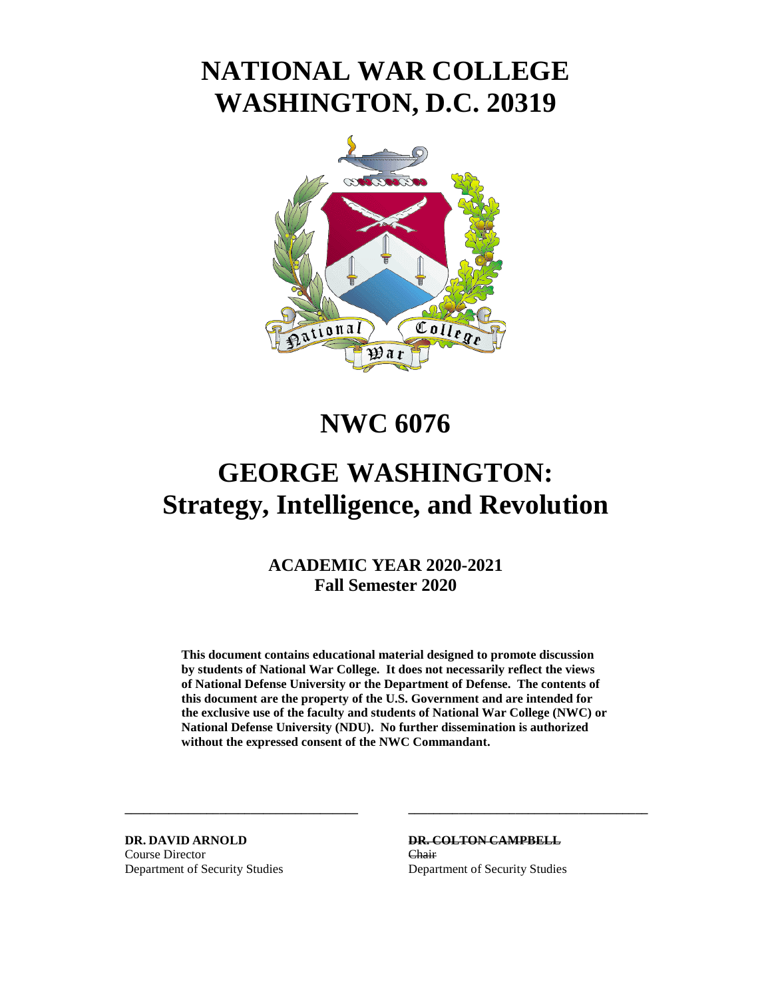# **NATIONAL WAR COLLEGE WASHINGTON, D.C. 20319**



# **NWC 6076**

# **GEORGE WASHINGTON: Strategy, Intelligence, and Revolution**

# **ACADEMIC YEAR 2020-2021 Fall Semester 2020**

**This document contains educational material designed to promote discussion by students of National War College. It does not necessarily reflect the views of National Defense University or the Department of Defense. The contents of this document are the property of the U.S. Government and are intended for the exclusive use of the faculty and students of National War College (NWC) or National Defense University (NDU). No further dissemination is authorized without the expressed consent of the NWC Commandant.** 

**\_\_\_\_\_\_\_\_\_\_\_\_\_\_\_\_\_\_\_\_\_\_\_\_\_\_\_\_\_\_\_\_\_\_\_\_\_ \_\_\_\_\_\_\_\_\_\_\_\_\_\_\_\_\_\_\_\_\_\_\_\_\_\_\_\_\_\_\_\_\_\_\_\_\_\_** 

Course Director Chair Department of Security Studies Department of Security Studies

**DR. DAVID ARNOLD DR. COLTON CAMPBELL**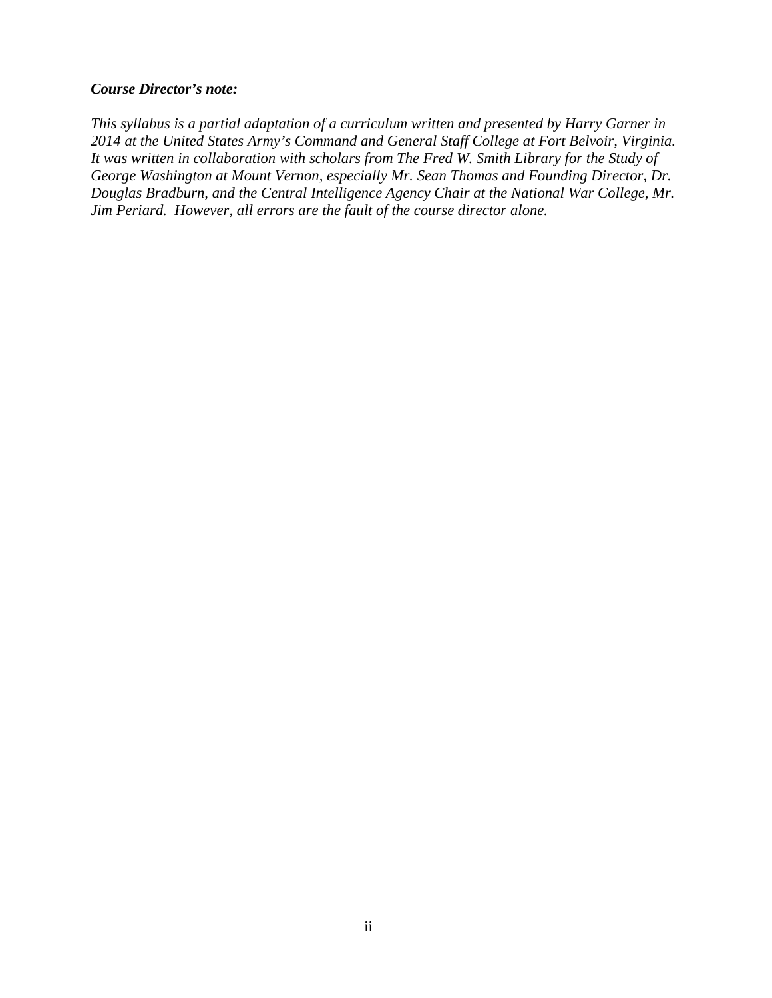#### *Course Director's note:*

*This syllabus is a partial adaptation of a curriculum written and presented by Harry Garner in 2014 at the United States Army's Command and General Staff College at Fort Belvoir, Virginia. It was written in collaboration with scholars from The Fred W. Smith Library for the Study of George Washington at Mount Vernon, especially Mr. Sean Thomas and Founding Director, Dr. Douglas Bradburn, and the Central Intelligence Agency Chair at the National War College, Mr. Jim Periard. However, all errors are the fault of the course director alone.*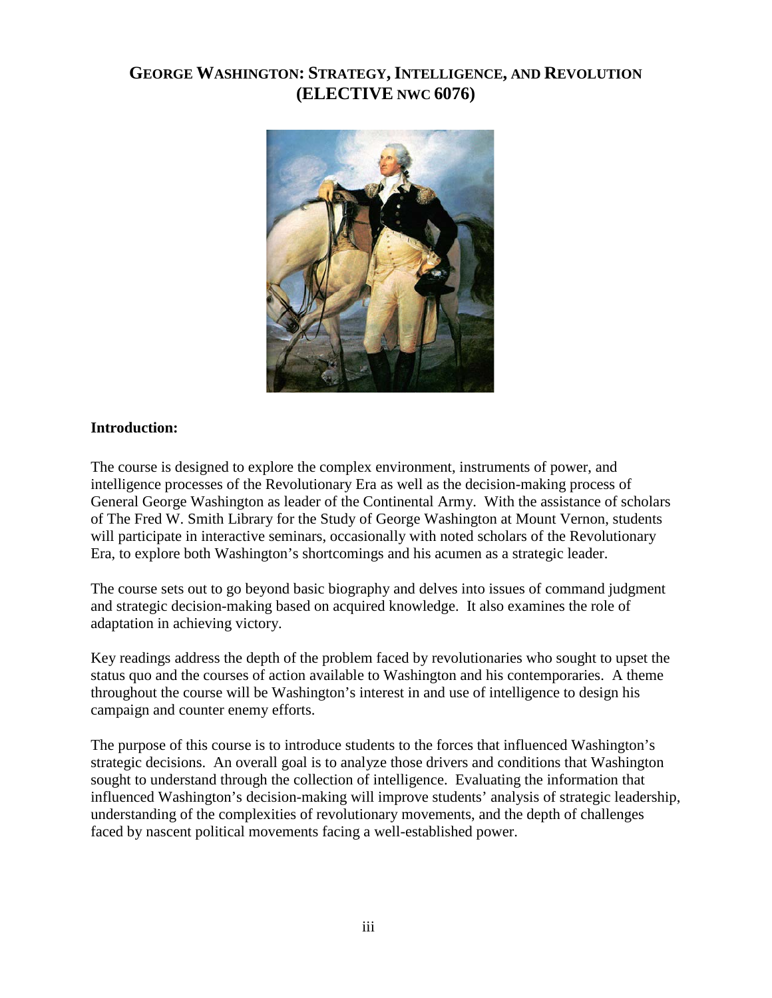# **GEORGE WASHINGTON: STRATEGY,INTELLIGENCE, AND REVOLUTION (ELECTIVE NWC 6076)**



#### **Introduction:**

The course is designed to explore the complex environment, instruments of power, and intelligence processes of the Revolutionary Era as well as the decision-making process of General George Washington as leader of the Continental Army. With the assistance of scholars of The Fred W. Smith Library for the Study of George Washington at Mount Vernon, students will participate in interactive seminars, occasionally with noted scholars of the Revolutionary Era, to explore both Washington's shortcomings and his acumen as a strategic leader.

The course sets out to go beyond basic biography and delves into issues of command judgment and strategic decision-making based on acquired knowledge. It also examines the role of adaptation in achieving victory.

Key readings address the depth of the problem faced by revolutionaries who sought to upset the status quo and the courses of action available to Washington and his contemporaries. A theme throughout the course will be Washington's interest in and use of intelligence to design his campaign and counter enemy efforts.

The purpose of this course is to introduce students to the forces that influenced Washington's strategic decisions. An overall goal is to analyze those drivers and conditions that Washington sought to understand through the collection of intelligence. Evaluating the information that influenced Washington's decision-making will improve students' analysis of strategic leadership, understanding of the complexities of revolutionary movements, and the depth of challenges faced by nascent political movements facing a well-established power.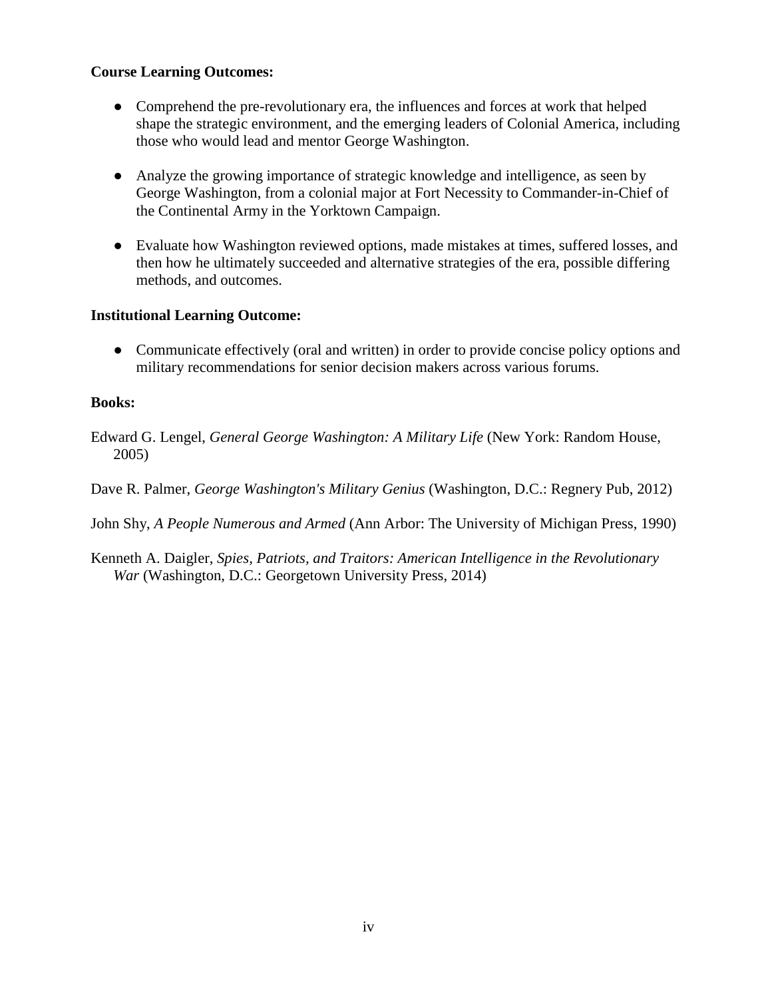#### **Course Learning Outcomes:**

- Comprehend the pre-revolutionary era, the influences and forces at work that helped shape the strategic environment, and the emerging leaders of Colonial America, including those who would lead and mentor George Washington.
- Analyze the growing importance of strategic knowledge and intelligence, as seen by George Washington, from a colonial major at Fort Necessity to Commander-in-Chief of the Continental Army in the Yorktown Campaign.
- Evaluate how Washington reviewed options, made mistakes at times, suffered losses, and then how he ultimately succeeded and alternative strategies of the era, possible differing methods, and outcomes.

#### **Institutional Learning Outcome:**

• Communicate effectively (oral and written) in order to provide concise policy options and military recommendations for senior decision makers across various forums.

#### **Books:**

Edward G. Lengel, *General George Washington: A Military Life* (New York: Random House, 2005)

Dave R. Palmer, *George Washington's Military Genius* (Washington, D.C.: Regnery Pub, 2012)

John Shy, *A People Numerous and Armed* (Ann Arbor: The University of Michigan Press, 1990)

Kenneth A. Daigler, *Spies, Patriots, and Traitors: American Intelligence in the Revolutionary War* (Washington, D.C.: Georgetown University Press, 2014)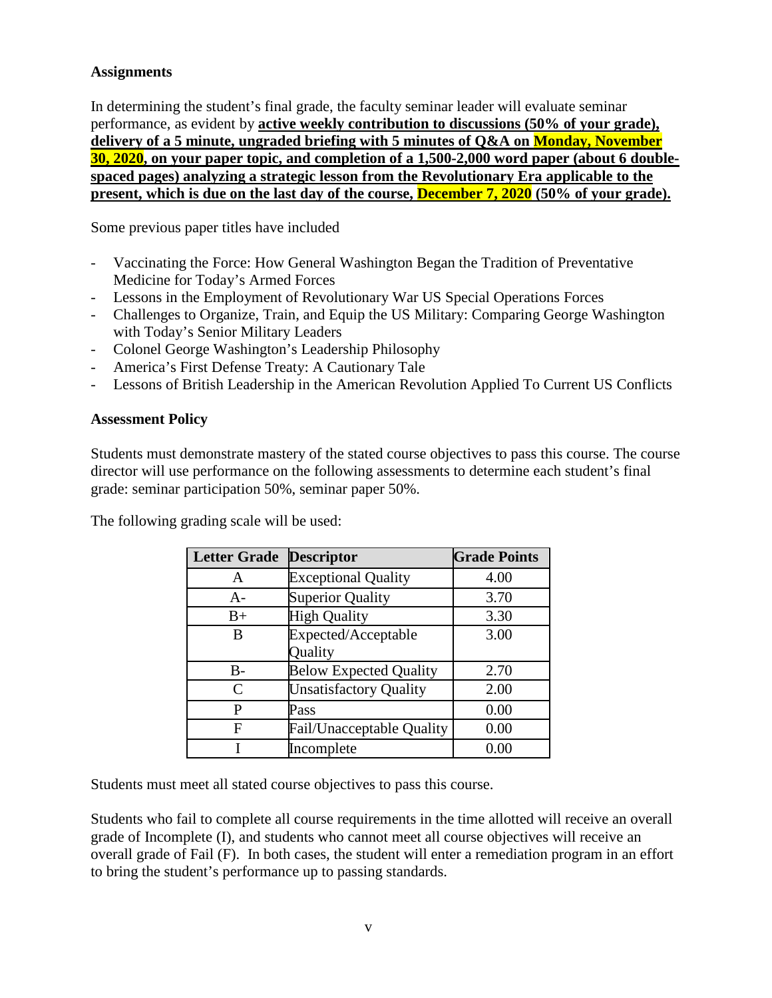#### **Assignments**

In determining the student's final grade, the faculty seminar leader will evaluate seminar performance, as evident by **active weekly contribution to discussions (50% of your grade), delivery of a 5 minute, ungraded briefing with 5 minutes of Q&A on Monday, November 30, 2020, on your paper topic, and completion of a 1,500-2,000 word paper (about 6 doublespaced pages) analyzing a strategic lesson from the Revolutionary Era applicable to the present, which is due on the last day of the course, December 7, 2020 (50% of your grade).** 

Some previous paper titles have included

- Vaccinating the Force: How General Washington Began the Tradition of Preventative Medicine for Today's Armed Forces
- Lessons in the Employment of Revolutionary War US Special Operations Forces
- Challenges to Organize, Train, and Equip the US Military: Comparing George Washington with Today's Senior Military Leaders
- Colonel George Washington's Leadership Philosophy
- America's First Defense Treaty: A Cautionary Tale
- Lessons of British Leadership in the American Revolution Applied To Current US Conflicts

#### **Assessment Policy**

Students must demonstrate mastery of the stated course objectives to pass this course. The course director will use performance on the following assessments to determine each student's final grade: seminar participation 50%, seminar paper 50%.

The following grading scale will be used:

| <b>Letter Grade</b>         | <b>Descriptor</b>                | <b>Grade Points</b> |
|-----------------------------|----------------------------------|---------------------|
| A                           | <b>Exceptional Quality</b>       | 4.00                |
| $A-$                        | <b>Superior Quality</b>          | 3.70                |
| $B+$                        | <b>High Quality</b>              | 3.30                |
| В                           | Expected/Acceptable              | 3.00                |
|                             | Quality                          |                     |
| $B -$                       | <b>Below Expected Quality</b>    | 2.70                |
| $\mathcal{C}_{\mathcal{C}}$ | <b>Unsatisfactory Quality</b>    | 2.00                |
| P                           | Pass                             | 0.00                |
| F                           | <b>Fail/Unacceptable Quality</b> | 0.00                |
|                             | Incomplete                       | 0.00                |

Students must meet all stated course objectives to pass this course.

Students who fail to complete all course requirements in the time allotted will receive an overall grade of Incomplete (I), and students who cannot meet all course objectives will receive an overall grade of Fail (F). In both cases, the student will enter a remediation program in an effort to bring the student's performance up to passing standards.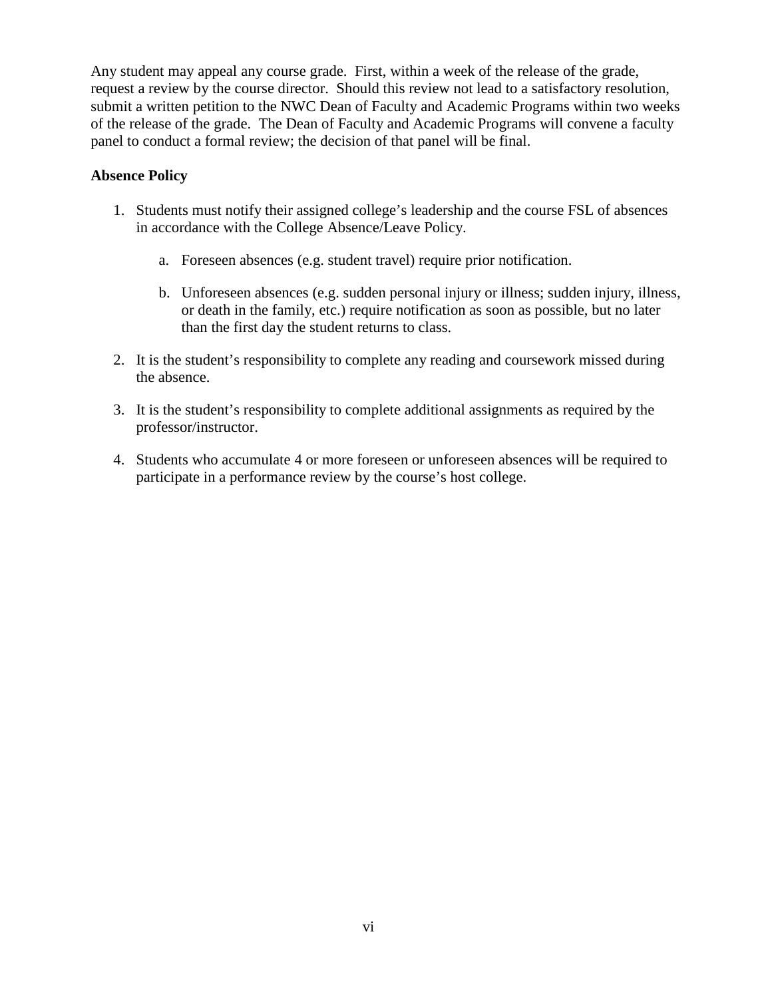Any student may appeal any course grade. First, within a week of the release of the grade, request a review by the course director. Should this review not lead to a satisfactory resolution, submit a written petition to the NWC Dean of Faculty and Academic Programs within two weeks of the release of the grade. The Dean of Faculty and Academic Programs will convene a faculty panel to conduct a formal review; the decision of that panel will be final.

#### **Absence Policy**

- 1. Students must notify their assigned college's leadership and the course FSL of absences in accordance with the College Absence/Leave Policy.
	- a. Foreseen absences (e.g. student travel) require prior notification.
	- b. Unforeseen absences (e.g. sudden personal injury or illness; sudden injury, illness, or death in the family, etc.) require notification as soon as possible, but no later than the first day the student returns to class.
- 2. It is the student's responsibility to complete any reading and coursework missed during the absence.
- 3. It is the student's responsibility to complete additional assignments as required by the professor/instructor.
- 4. Students who accumulate 4 or more foreseen or unforeseen absences will be required to participate in a performance review by the course's host college.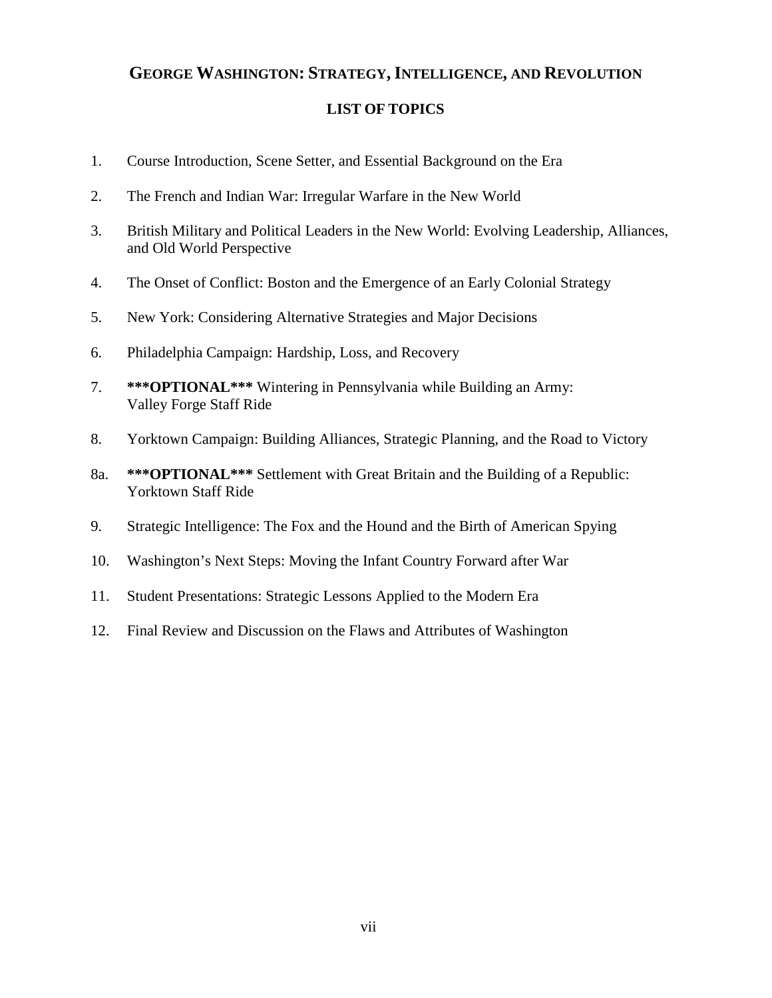# **GEORGE WASHINGTON: STRATEGY,INTELLIGENCE, AND REVOLUTION**

#### **LIST OF TOPICS**

- 1. Course Introduction, Scene Setter, and Essential Background on the Era
- 2. The French and Indian War: Irregular Warfare in the New World
- 3. British Military and Political Leaders in the New World: Evolving Leadership, Alliances, and Old World Perspective
- 4. The Onset of Conflict: Boston and the Emergence of an Early Colonial Strategy
- 5. New York: Considering Alternative Strategies and Major Decisions
- 6. Philadelphia Campaign: Hardship, Loss, and Recovery
- 7. **\*\*\*OPTIONAL\*\*\*** Wintering in Pennsylvania while Building an Army: Valley Forge Staff Ride
- 8. Yorktown Campaign: Building Alliances, Strategic Planning, and the Road to Victory
- 8a. **\*\*\*OPTIONAL\*\*\*** Settlement with Great Britain and the Building of a Republic: Yorktown Staff Ride
- 9. Strategic Intelligence: The Fox and the Hound and the Birth of American Spying
- 10. Washington's Next Steps: Moving the Infant Country Forward after War
- 11. Student Presentations: Strategic Lessons Applied to the Modern Era
- 12. Final Review and Discussion on the Flaws and Attributes of Washington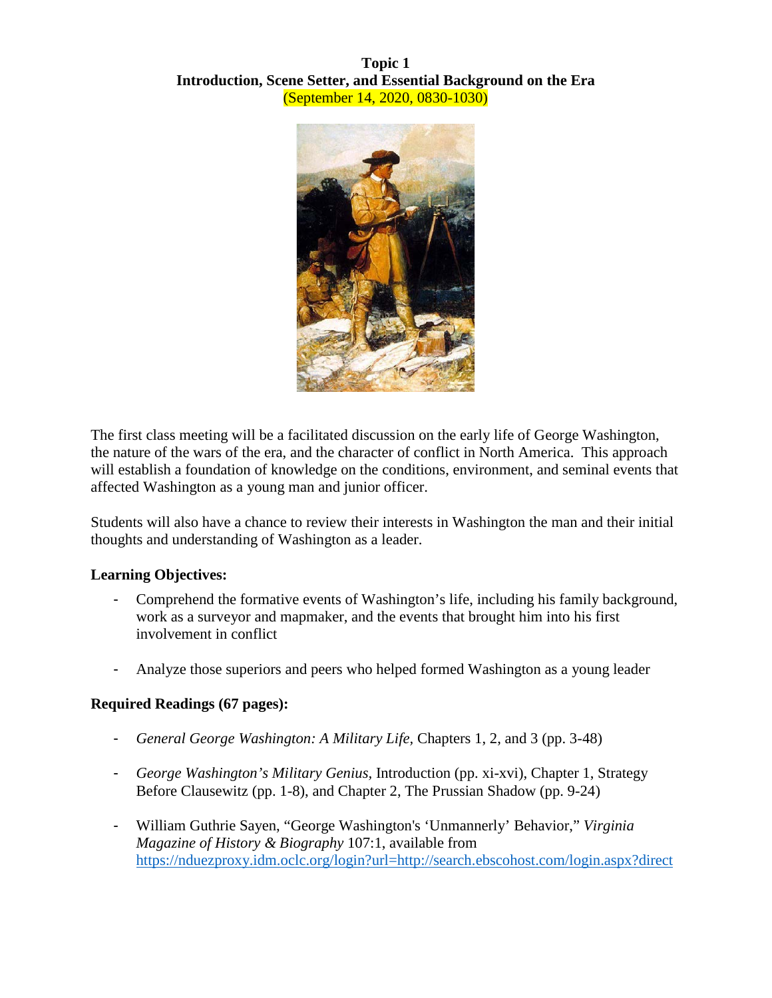**Topic 1 Introduction, Scene Setter, and Essential Background on the Era** (September 14, 2020, 0830-1030)



The first class meeting will be a facilitated discussion on the early life of George Washington, the nature of the wars of the era, and the character of conflict in North America. This approach will establish a foundation of knowledge on the conditions, environment, and seminal events that affected Washington as a young man and junior officer.

Students will also have a chance to review their interests in Washington the man and their initial thoughts and understanding of Washington as a leader.

# **Learning Objectives:**

- Comprehend the formative events of Washington's life, including his family background, work as a surveyor and mapmaker, and the events that brought him into his first involvement in conflict
- Analyze those superiors and peers who helped formed Washington as a young leader

# **Required Readings (67 pages):**

- *General George Washington: A Military Life,* Chapters 1, 2, and 3 (pp. 3-48)
- *George Washington's Military Genius,* Introduction (pp. xi-xvi), Chapter 1, Strategy Before Clausewitz (pp. 1-8), and Chapter 2, The Prussian Shadow (pp. 9-24)
- William Guthrie Sayen, "George Washington's 'Unmannerly' Behavior," *Virginia Magazine of History & Biography* 107:1, available from [https://nduezproxy.idm.oclc.org/login?url=http://search.ebscohost.com/login.aspx?direct](https://nduezproxy.idm.oclc.org/login?url=http://search.ebscohost.com/login.aspx?direct=true&db=aph&AN=2001628&site=eds-live&scope=site)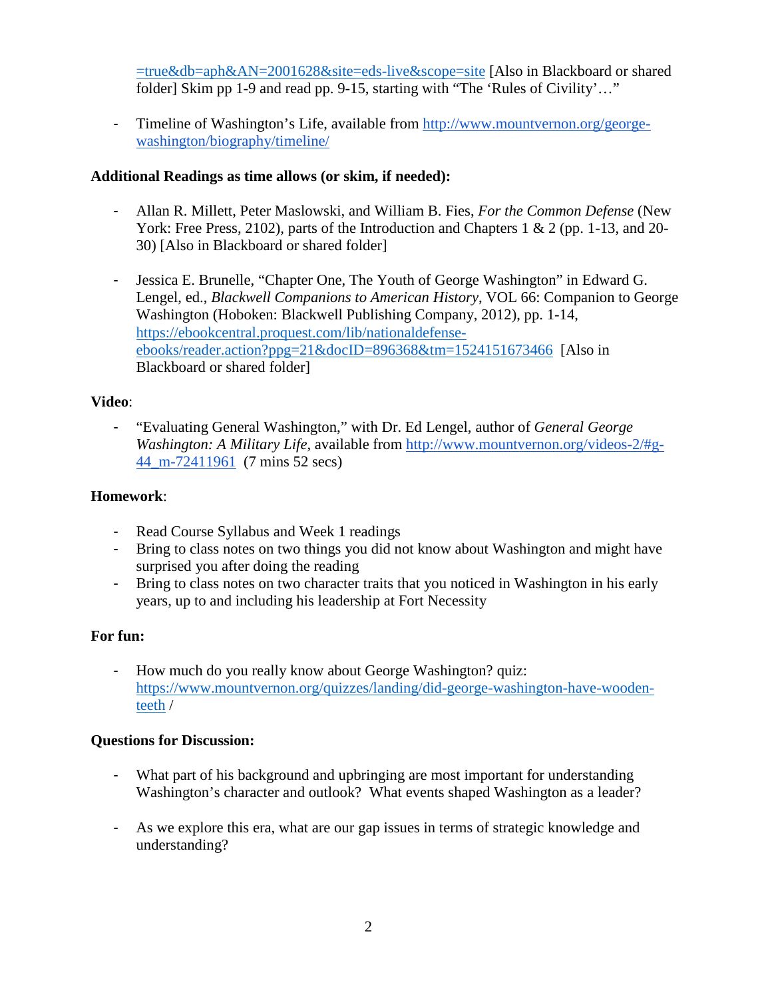[=true&db=aph&AN=2001628&site=eds-live&scope=site](https://nduezproxy.idm.oclc.org/login?url=http://search.ebscohost.com/login.aspx?direct=true&db=aph&AN=2001628&site=eds-live&scope=site) [Also in Blackboard or shared folder] Skim pp 1-9 and read pp. 9-15, starting with "The 'Rules of Civility'..."

- Timeline of Washington's Life, available from [http://www.mountvernon.org/george](http://www.mountvernon.org/george-washington/biography/timeline/)[washington/biography/timeline/](http://www.mountvernon.org/george-washington/biography/timeline/) 

# **Additional Readings as time allows (or skim, if needed):**

- Allan R. Millett, Peter Maslowski, and William B. Fies, *For the Common Defense* (New York: Free Press, 2102)*,* parts of the Introduction and Chapters 1 & 2 (pp. 1-13, and 20-30) [Also in Blackboard or shared folder]
- Jessica E. Brunelle, "Chapter One, The Youth of George Washington" in Edward G. Lengel, ed., *Blackwell Companions to American History*, VOL 66: Companion to George Washington (Hoboken: Blackwell Publishing Company, 2012), pp. 1-14, [https://ebookcentral.proquest.com/lib/nationaldefense](https://ebookcentral.proquest.com/lib/nationaldefense-ebooks/reader.action?ppg=21&docID=896368&tm=1524151673466)[ebooks/reader.action?ppg=21&docID=896368&tm=1524151673466](https://ebookcentral.proquest.com/lib/nationaldefense-ebooks/reader.action?ppg=21&docID=896368&tm=1524151673466) [Also in Blackboard or shared folder]

# **Video**:

- "Evaluating General Washington," with Dr. Ed Lengel, author of *General George Washington: A Military Life*, available from [http://www.mountvernon.org/videos-2/#g-](http://www.mountvernon.org/videos-2/#g-44_m-72411961)[44\\_m-72411961](http://www.mountvernon.org/videos-2/#g-44_m-72411961) (7 mins 52 secs)

# **Homework**:

- Read Course Syllabus and Week 1 readings
- Bring to class notes on two things you did not know about Washington and might have surprised you after doing the reading
- Bring to class notes on two character traits that you noticed in Washington in his early years, up to and including his leadership at Fort Necessity

# **For fun:**

- How much do you really know about George Washington? quiz: [https://www.mountvernon.org/quizzes/landing/did-george-washington-have-wooden](https://www.mountvernon.org/quizzes/landing/did-george-washington-have-wooden-teeth)[teeth](https://www.mountvernon.org/quizzes/landing/did-george-washington-have-wooden-teeth) /

# **Questions for Discussion:**

- What part of his background and upbringing are most important for understanding Washington's character and outlook? What events shaped Washington as a leader?
- As we explore this era, what are our gap issues in terms of strategic knowledge and understanding?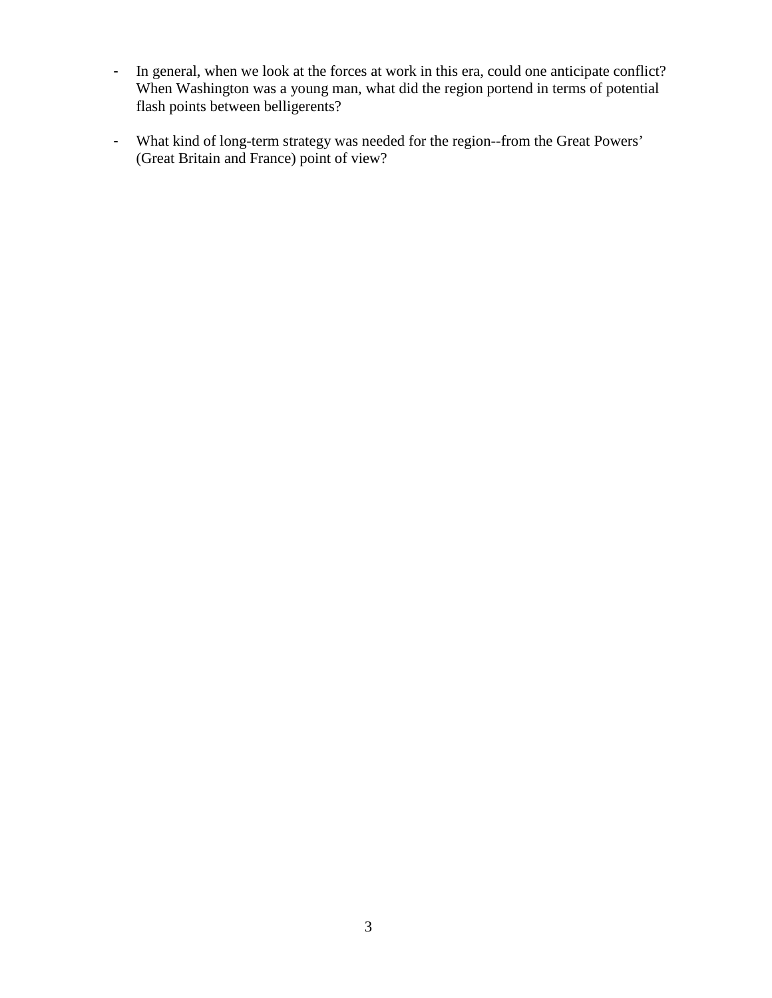- In general, when we look at the forces at work in this era, could one anticipate conflict? When Washington was a young man, what did the region portend in terms of potential flash points between belligerents?
- What kind of long-term strategy was needed for the region--from the Great Powers' (Great Britain and France) point of view?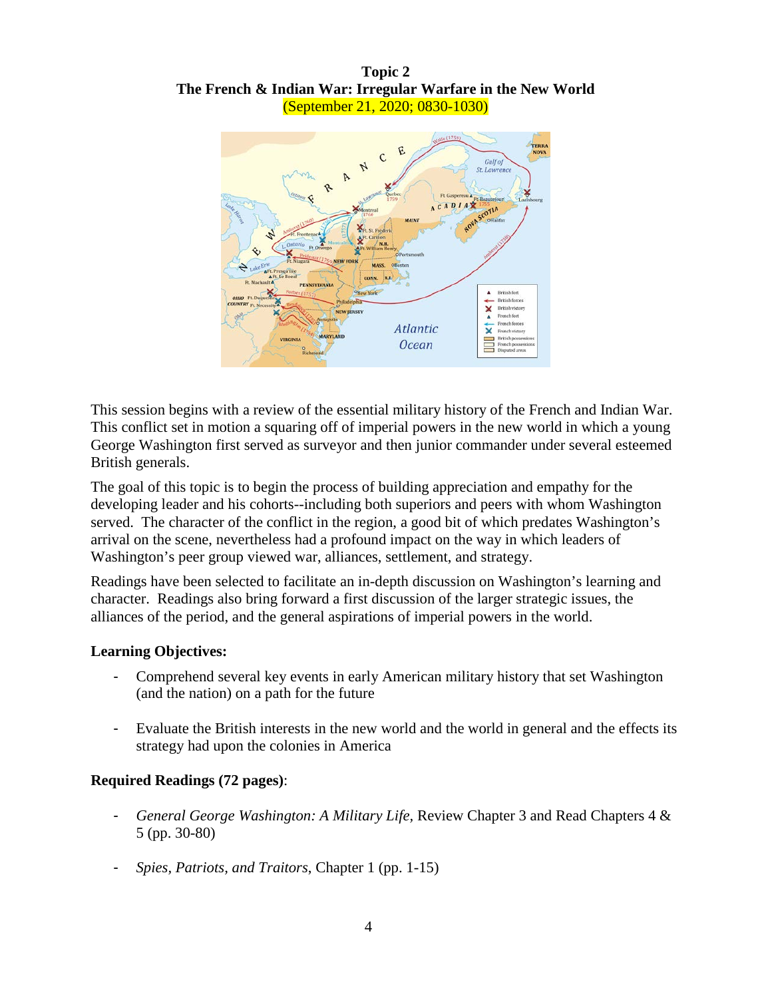**Topic 2 The French & Indian War: Irregular Warfare in the New World** (September 21, 2020; 0830-1030)



This session begins with a review of the essential military history of the French and Indian War. This conflict set in motion a squaring off of imperial powers in the new world in which a young George Washington first served as surveyor and then junior commander under several esteemed British generals.

The goal of this topic is to begin the process of building appreciation and empathy for the developing leader and his cohorts--including both superiors and peers with whom Washington served. The character of the conflict in the region, a good bit of which predates Washington's arrival on the scene, nevertheless had a profound impact on the way in which leaders of Washington's peer group viewed war, alliances, settlement, and strategy.

Readings have been selected to facilitate an in-depth discussion on Washington's learning and character. Readings also bring forward a first discussion of the larger strategic issues, the alliances of the period, and the general aspirations of imperial powers in the world.

#### **Learning Objectives:**

- Comprehend several key events in early American military history that set Washington (and the nation) on a path for the future
- Evaluate the British interests in the new world and the world in general and the effects its strategy had upon the colonies in America

# **Required Readings (72 pages)**:

- *General George Washington: A Military Life,* Review Chapter 3 and Read Chapters 4 & 5 (pp. 30-80)
- *Spies, Patriots, and Traitors*, Chapter 1 (pp. 1-15)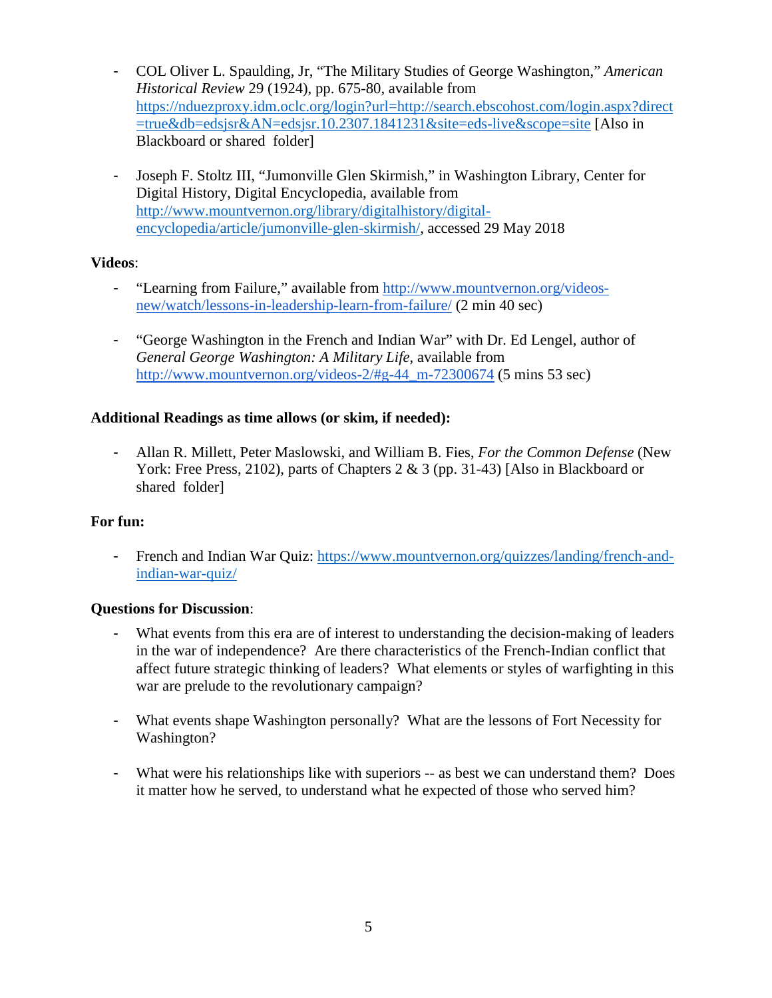- COL Oliver L. Spaulding, Jr, "The Military Studies of George Washington," *American Historical Review* 29 (1924), pp. 675-80, available from [https://nduezproxy.idm.oclc.org/login?url=http://search.ebscohost.com/login.aspx?direct](https://nduezproxy.idm.oclc.org/login?url=http://search.ebscohost.com/login.aspx?direct=true&db=edsjsr&AN=edsjsr.10.2307.1841231&site=eds-live&scope=site) [=true&db=edsjsr&AN=edsjsr.10.2307.1841231&site=eds-live&scope=site](https://nduezproxy.idm.oclc.org/login?url=http://search.ebscohost.com/login.aspx?direct=true&db=edsjsr&AN=edsjsr.10.2307.1841231&site=eds-live&scope=site) [Also in Blackboard or shared folder]
- Joseph F. Stoltz III, "Jumonville Glen Skirmish," in Washington Library, Center for Digital History, Digital Encyclopedia, available from [http://www.mountvernon.org/library/digitalhistory/digital](http://www.mountvernon.org/library/digitalhistory/digital-encyclopedia/article/jumonville-glen-skirmish/)[encyclopedia/article/jumonville-glen-skirmish/,](http://www.mountvernon.org/library/digitalhistory/digital-encyclopedia/article/jumonville-glen-skirmish/) accessed 29 May 2018

# **Videos**:

- "Learning from Failure," available from [http://www.mountvernon.org/videos](http://www.mountvernon.org/videos-new/watch/lessons-in-leadership-learn-from-failure/)[new/watch/lessons-in-leadership-learn-from-failure/](http://www.mountvernon.org/videos-new/watch/lessons-in-leadership-learn-from-failure/) (2 min 40 sec)
- "George Washington in the French and Indian War" with Dr. Ed Lengel, author of *General George Washington: A Military Life*, available from http://www.mountvernon.org/videos-2/#g-44 m-72300674 (5 mins 53 sec)

# **Additional Readings as time allows (or skim, if needed):**

- Allan R. Millett, Peter Maslowski, and William B. Fies, *For the Common Defense* (New York: Free Press, 2102), parts of Chapters 2 & 3 (pp. 31-43) [Also in Blackboard or shared folder]

# **For fun:**

- French and Indian War Quiz: [https://www.mountvernon.org/quizzes/landing/french-and](https://www.mountvernon.org/quizzes/landing/french-and-indian-war-quiz/)[indian-war-quiz/](https://www.mountvernon.org/quizzes/landing/french-and-indian-war-quiz/)

# **Questions for Discussion**:

- What events from this era are of interest to understanding the decision-making of leaders in the war of independence? Are there characteristics of the French-Indian conflict that affect future strategic thinking of leaders? What elements or styles of warfighting in this war are prelude to the revolutionary campaign?
- What events shape Washington personally? What are the lessons of Fort Necessity for Washington?
- What were his relationships like with superiors -- as best we can understand them? Does it matter how he served, to understand what he expected of those who served him?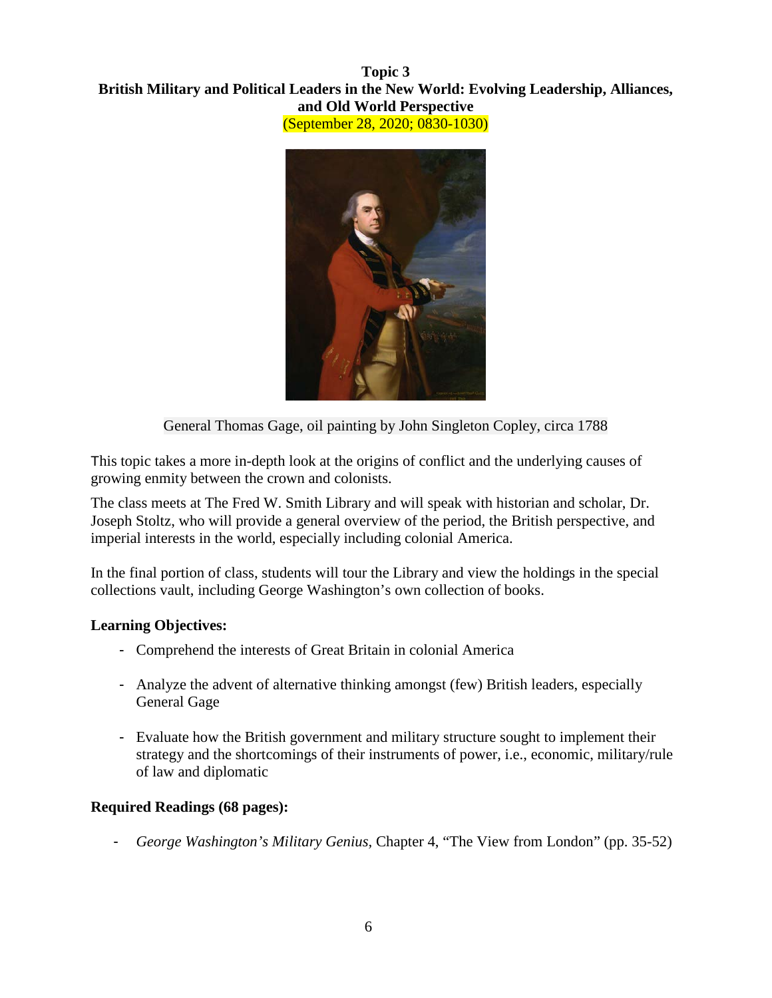#### **Topic 3 British Military and Political Leaders in the New World: Evolving Leadership, Alliances, and Old World Perspective** (September 28, 2020; 0830-1030)



General Thomas Gage, oil painting by John Singleton Copley, circa 1788

This topic takes a more in-depth look at the origins of conflict and the underlying causes of growing enmity between the crown and colonists.

The class meets at The Fred W. Smith Library and will speak with historian and scholar, Dr. Joseph Stoltz, who will provide a general overview of the period, the British perspective, and imperial interests in the world, especially including colonial America.

In the final portion of class, students will tour the Library and view the holdings in the special collections vault, including George Washington's own collection of books.

# **Learning Objectives:**

- Comprehend the interests of Great Britain in colonial America
- Analyze the advent of alternative thinking amongst (few) British leaders, especially General Gage
- Evaluate how the British government and military structure sought to implement their strategy and the shortcomings of their instruments of power, i.e., economic, military/rule of law and diplomatic

# **Required Readings (68 pages):**

- *George Washington's Military Genius,* Chapter 4, "The View from London" (pp. 35-52)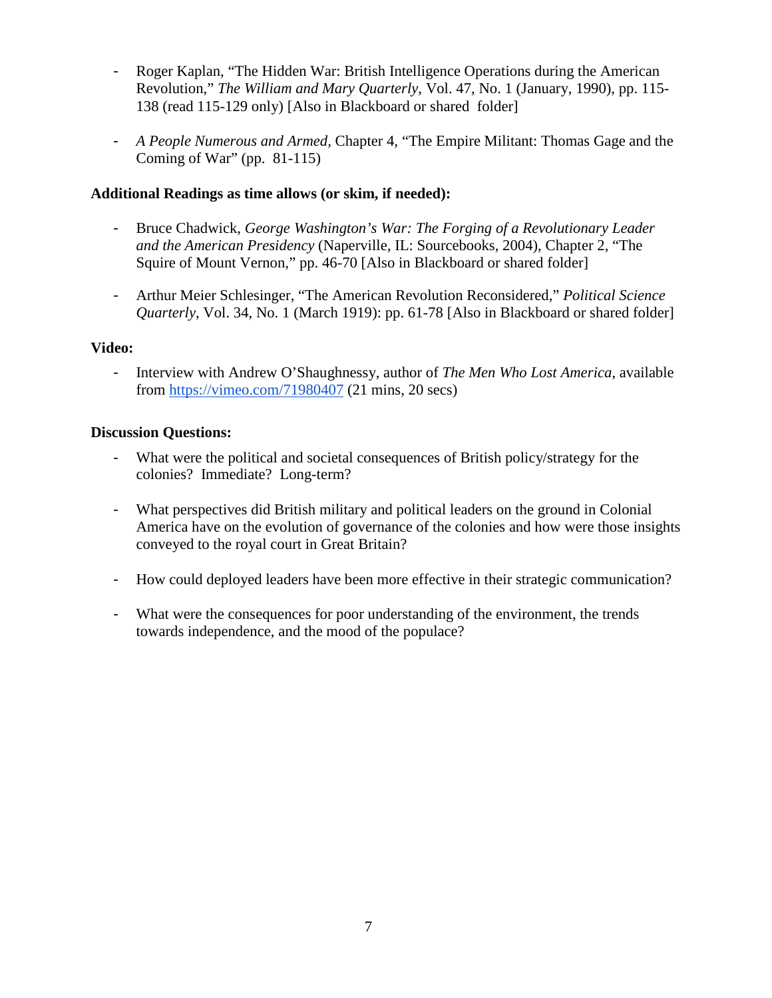- Roger Kaplan, "The Hidden War: British Intelligence Operations during the American Revolution," *The William and Mary Quarterly*, Vol. 47, No. 1 (January, 1990), pp. 115- 138 (read 115-129 only) [Also in Blackboard or shared folder]
- *A People Numerous and Armed,* Chapter 4, "The Empire Militant: Thomas Gage and the Coming of War" (pp. 81-115)

# **Additional Readings as time allows (or skim, if needed):**

- Bruce Chadwick, *George Washington's War: The Forging of a Revolutionary Leader and the American Presidency* (Naperville, IL: Sourcebooks, 2004), Chapter 2, "The Squire of Mount Vernon," pp. 46-70 [Also in Blackboard or shared folder]
- Arthur Meier Schlesinger, "The American Revolution Reconsidered," *Political Science Quarterly*, Vol. 34, No. 1 (March 1919): pp. 61-78 [Also in Blackboard or shared folder]

# **Video:**

- Interview with Andrew O'Shaughnessy, author of *The Men Who Lost America*, available from <https://vimeo.com/71980407> (21 mins, 20 secs)

- What were the political and societal consequences of British policy/strategy for the colonies? Immediate? Long-term?
- What perspectives did British military and political leaders on the ground in Colonial America have on the evolution of governance of the colonies and how were those insights conveyed to the royal court in Great Britain?
- How could deployed leaders have been more effective in their strategic communication?
- What were the consequences for poor understanding of the environment, the trends towards independence, and the mood of the populace?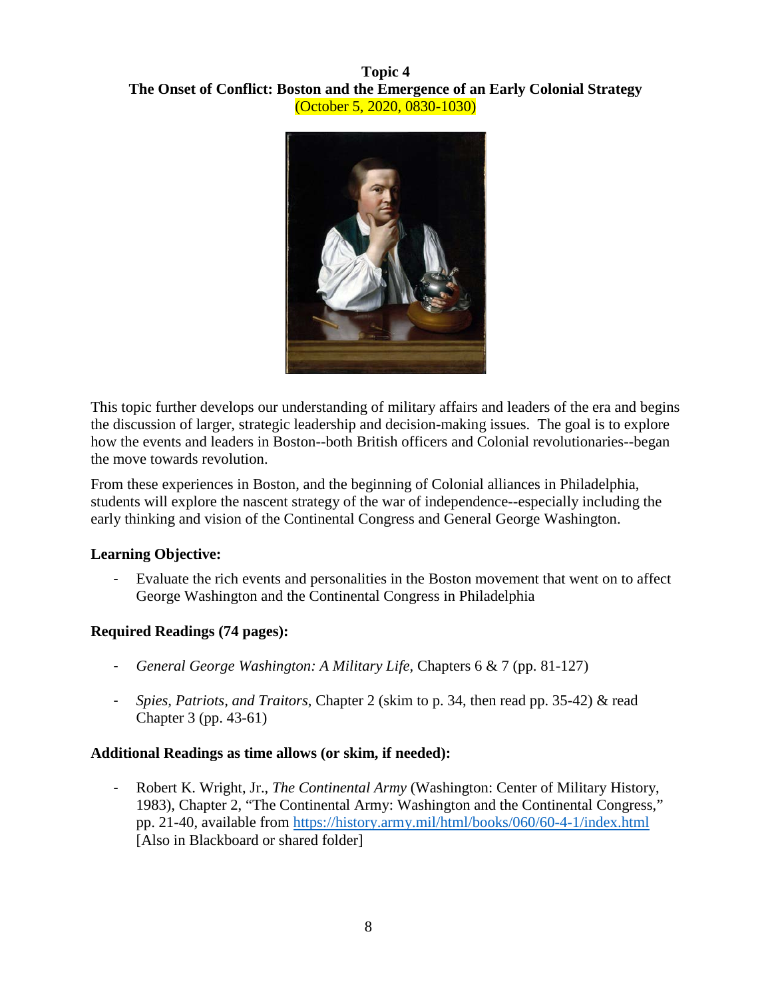# **Topic 4 The Onset of Conflict: Boston and the Emergence of an Early Colonial Strategy** (October 5, 2020, 0830-1030)



This topic further develops our understanding of military affairs and leaders of the era and begins the discussion of larger, strategic leadership and decision-making issues. The goal is to explore how the events and leaders in Boston--both British officers and Colonial revolutionaries--began the move towards revolution.

From these experiences in Boston, and the beginning of Colonial alliances in Philadelphia, students will explore the nascent strategy of the war of independence--especially including the early thinking and vision of the Continental Congress and General George Washington.

# **Learning Objective:**

- Evaluate the rich events and personalities in the Boston movement that went on to affect George Washington and the Continental Congress in Philadelphia

# **Required Readings (74 pages):**

- *General George Washington: A Military Life,* Chapters 6 & 7 (pp. 81-127)
- *Spies, Patriots, and Traitors*, Chapter 2 (skim to p. 34, then read pp. 35-42) & read Chapter 3 (pp. 43-61)

# **Additional Readings as time allows (or skim, if needed):**

- Robert K. Wright, Jr., *The Continental Army* (Washington: Center of Military History, 1983), Chapter 2, "The Continental Army: Washington and the Continental Congress," pp. 21-40, available from <https://history.army.mil/html/books/060/60-4-1/index.html> [Also in Blackboard or shared folder]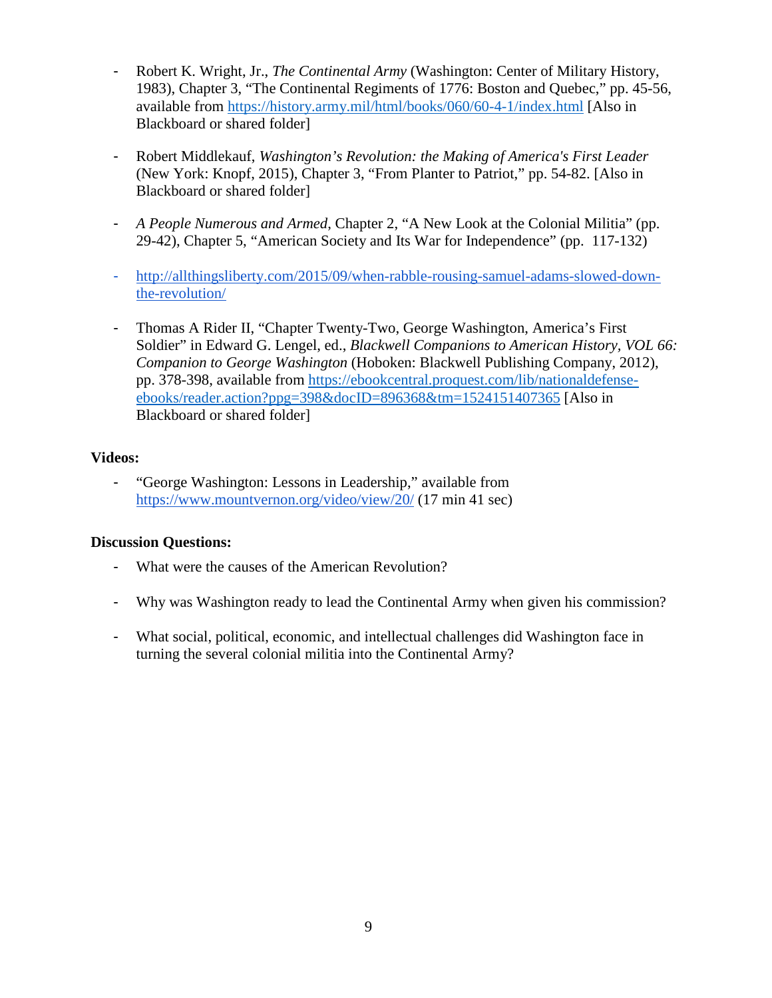- Robert K. Wright, Jr., *The Continental Army* (Washington: Center of Military History, 1983), Chapter 3, "The Continental Regiments of 1776: Boston and Quebec," pp. 45-56, available from <https://history.army.mil/html/books/060/60-4-1/index.html> [Also in Blackboard or shared folder]
- Robert Middlekauf, *Washington's Revolution: the Making of America's First Leader* (New York: Knopf, 2015), Chapter 3, "From Planter to Patriot," pp. 54-82. [Also in Blackboard or shared folder]
- *A People Numerous and Armed*, Chapter 2, "A New Look at the Colonial Militia" (pp. 29-42), Chapter 5, "American Society and Its War for Independence" (pp. 117-132)
- [http://allthingsliberty.com/2015/09/when-rabble-rousing-samuel-adams-slowed-down](http://allthingsliberty.com/2015/09/when-rabble-rousing-samuel-adams-slowed-down-the-revolution/)[the-revolution/](http://allthingsliberty.com/2015/09/when-rabble-rousing-samuel-adams-slowed-down-the-revolution/)
- Thomas A Rider II, "Chapter Twenty-Two, George Washington, America's First Soldier" in Edward G. Lengel, ed., *Blackwell Companions to American History, VOL 66: Companion to George Washington* (Hoboken: Blackwell Publishing Company, 2012), pp. 378-398, available from [https://ebookcentral.proquest.com/lib/nationaldefense](https://ebookcentral.proquest.com/lib/nationaldefense-ebooks/reader.action?ppg=398&docID=896368&tm=1524151407365)[ebooks/reader.action?ppg=398&docID=896368&tm=1524151407365](https://ebookcentral.proquest.com/lib/nationaldefense-ebooks/reader.action?ppg=398&docID=896368&tm=1524151407365) [Also in Blackboard or shared folder]

#### **Videos:**

- "George Washington: Lessons in Leadership," available from https://www.mountvernon.org/video/view/20/ (17 min 41 sec)

- What were the causes of the American Revolution?
- Why was Washington ready to lead the Continental Army when given his commission?
- What social, political, economic, and intellectual challenges did Washington face in turning the several colonial militia into the Continental Army?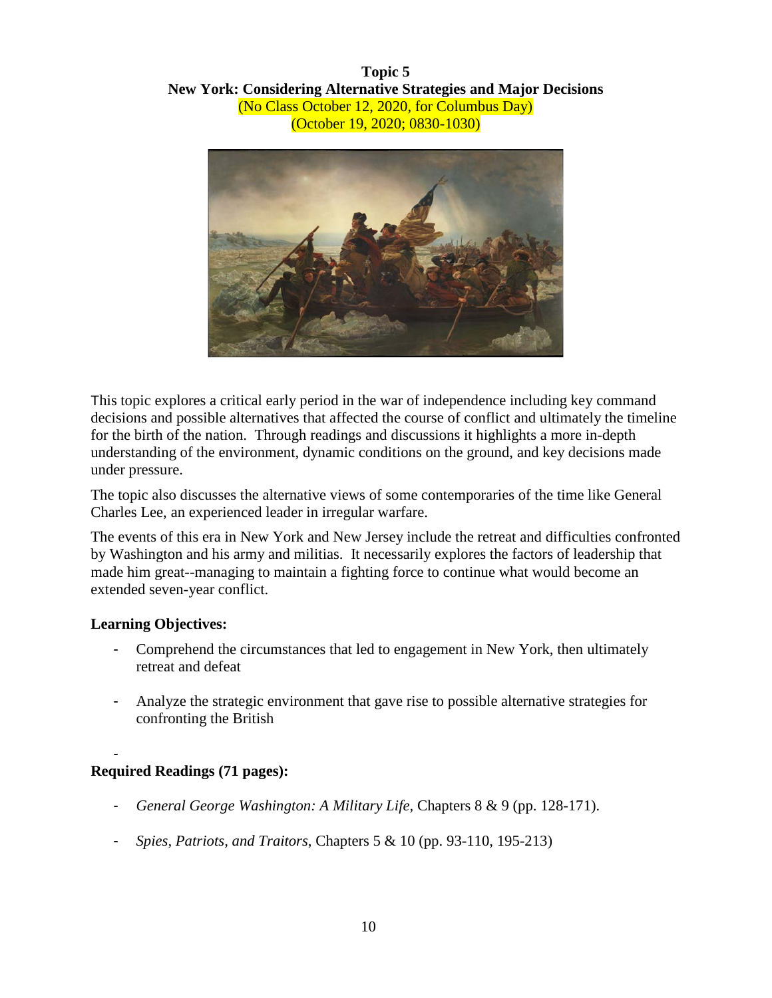**Topic 5 New York: Considering Alternative Strategies and Major Decisions** (No Class October 12, 2020, for Columbus Day) (October 19, 2020; 0830-1030)



This topic explores a critical early period in the war of independence including key command decisions and possible alternatives that affected the course of conflict and ultimately the timeline for the birth of the nation. Through readings and discussions it highlights a more in-depth understanding of the environment, dynamic conditions on the ground, and key decisions made under pressure.

The topic also discusses the alternative views of some contemporaries of the time like General Charles Lee, an experienced leader in irregular warfare.

The events of this era in New York and New Jersey include the retreat and difficulties confronted by Washington and his army and militias. It necessarily explores the factors of leadership that made him great--managing to maintain a fighting force to continue what would become an extended seven-year conflict.

#### **Learning Objectives:**

- Comprehend the circumstances that led to engagement in New York, then ultimately retreat and defeat
- Analyze the strategic environment that gave rise to possible alternative strategies for confronting the British

#### - **Required Readings (71 pages):**

- *General George Washington: A Military Life,* Chapters 8 & 9 (pp. 128-171).
- *Spies, Patriots, and Traitors*, Chapters 5 & 10 (pp. 93-110, 195-213)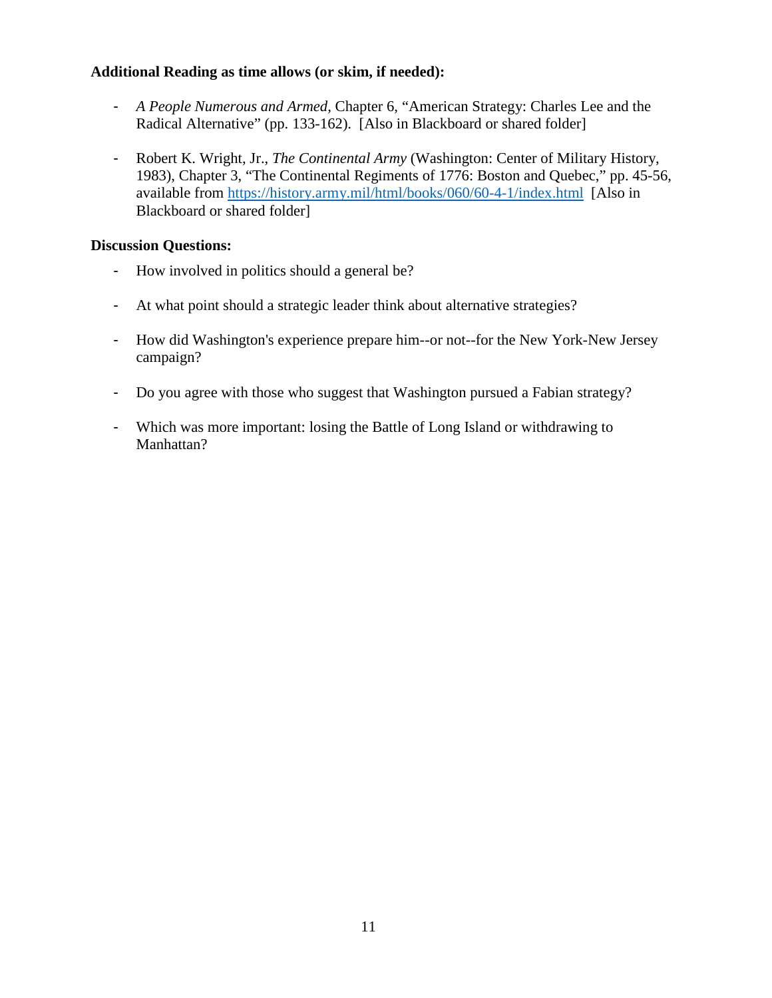#### **Additional Reading as time allows (or skim, if needed):**

- *A People Numerous and Armed,* Chapter 6, "American Strategy: Charles Lee and the Radical Alternative" (pp. 133-162). [Also in Blackboard or shared folder]
- Robert K. Wright, Jr., *The Continental Army* (Washington: Center of Military History, 1983), Chapter 3, "The Continental Regiments of 1776: Boston and Quebec," pp. 45-56, available from <https://history.army.mil/html/books/060/60-4-1/index.html> [Also in Blackboard or shared folder]

- How involved in politics should a general be?
- At what point should a strategic leader think about alternative strategies?
- How did Washington's experience prepare him--or not--for the New York-New Jersey campaign?
- Do you agree with those who suggest that Washington pursued a Fabian strategy?
- Which was more important: losing the Battle of Long Island or withdrawing to Manhattan?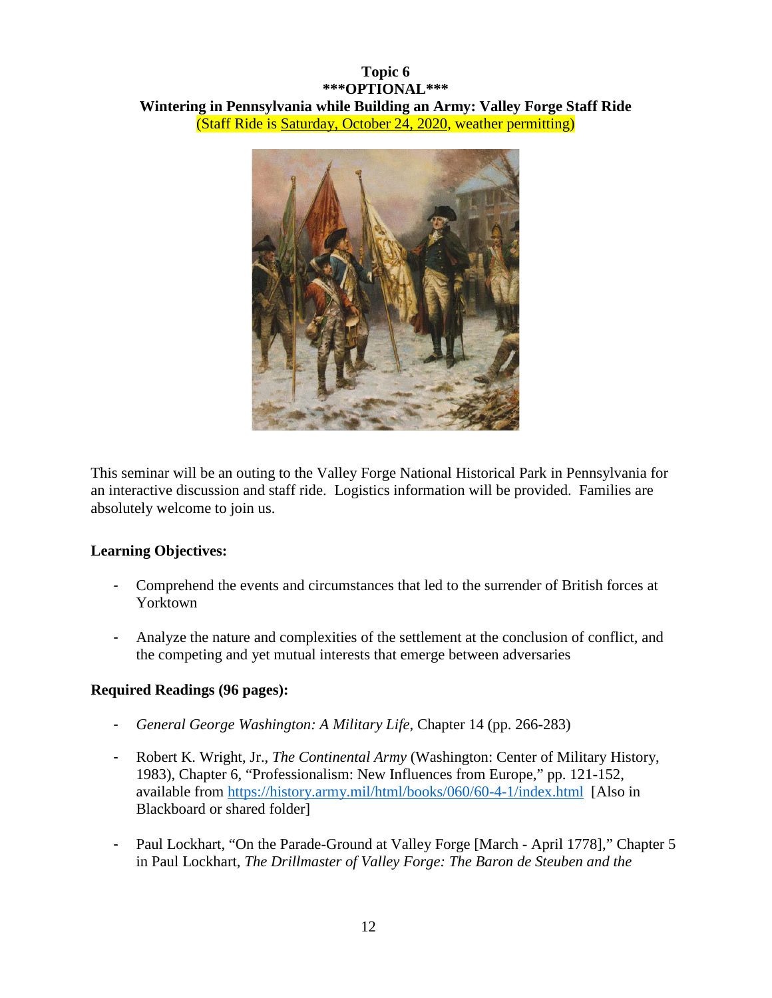# **Topic 6 \*\*\*OPTIONAL\*\*\* Wintering in Pennsylvania while Building an Army: Valley Forge Staff Ride** (Staff Ride is Saturday, October 24, 2020, weather permitting)



This seminar will be an outing to the Valley Forge National Historical Park in Pennsylvania for an interactive discussion and staff ride. Logistics information will be provided. Families are absolutely welcome to join us.

# **Learning Objectives:**

- Comprehend the events and circumstances that led to the surrender of British forces at Yorktown
- Analyze the nature and complexities of the settlement at the conclusion of conflict, and the competing and yet mutual interests that emerge between adversaries

# **Required Readings (96 pages):**

- *General George Washington: A Military Life,* Chapter 14 (pp. 266-283)
- Robert K. Wright, Jr., *The Continental Army* (Washington: Center of Military History, 1983), Chapter 6, "Professionalism: New Influences from Europe," pp. 121-152, available from<https://history.army.mil/html/books/060/60-4-1/index.html> [Also in Blackboard or shared folder]
- Paul Lockhart, "On the Parade-Ground at Valley Forge [March April 1778]," Chapter 5 in Paul Lockhart, *The Drillmaster of Valley Forge: The Baron de Steuben and the*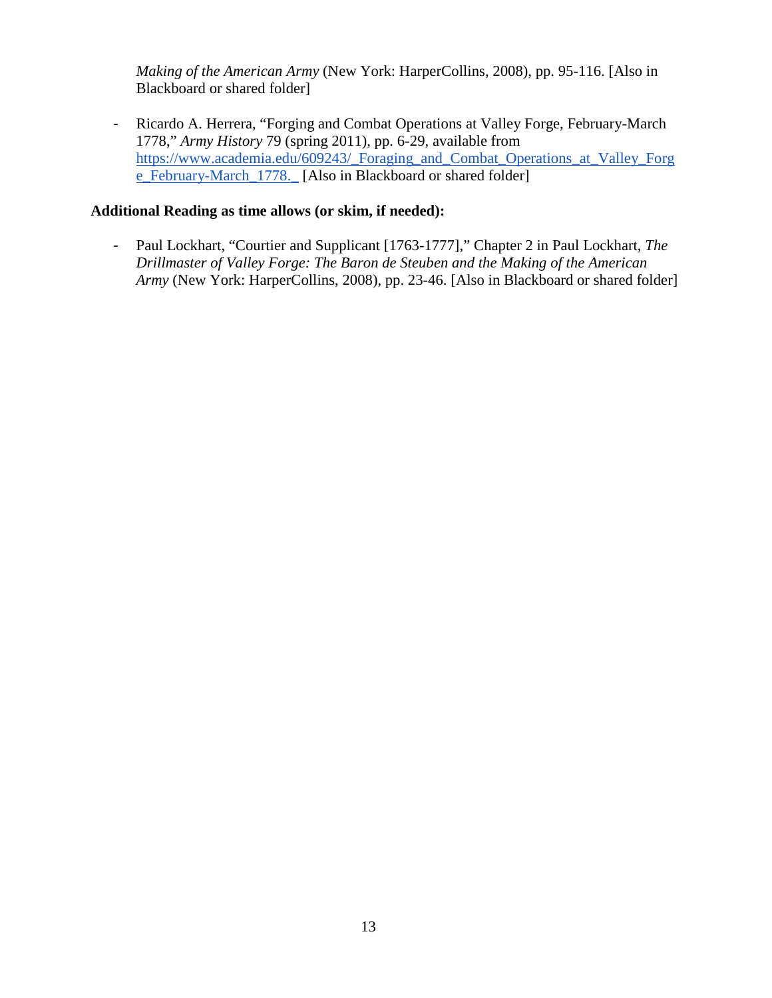*Making of the American Army* (New York: HarperCollins, 2008), pp. 95-116. [Also in Blackboard or shared folder]

- Ricardo A. Herrera, "Forging and Combat Operations at Valley Forge, February-March 1778," *Army History* 79 (spring 2011), pp. 6-29, available from [https://www.academia.edu/609243/\\_Foraging\\_and\\_Combat\\_Operations\\_at\\_Valley\\_Forg](https://www.academia.edu/609243/_Foraging_and_Combat_Operations_at_Valley_Forge_February-March_1778._) [e\\_February-March\\_1778.\\_](https://www.academia.edu/609243/_Foraging_and_Combat_Operations_at_Valley_Forge_February-March_1778._) [Also in Blackboard or shared folder]

# **Additional Reading as time allows (or skim, if needed):**

- Paul Lockhart, "Courtier and Supplicant [1763-1777]," Chapter 2 in Paul Lockhart, *The Drillmaster of Valley Forge: The Baron de Steuben and the Making of the American Army* (New York: HarperCollins, 2008), pp. 23-46. [Also in Blackboard or shared folder]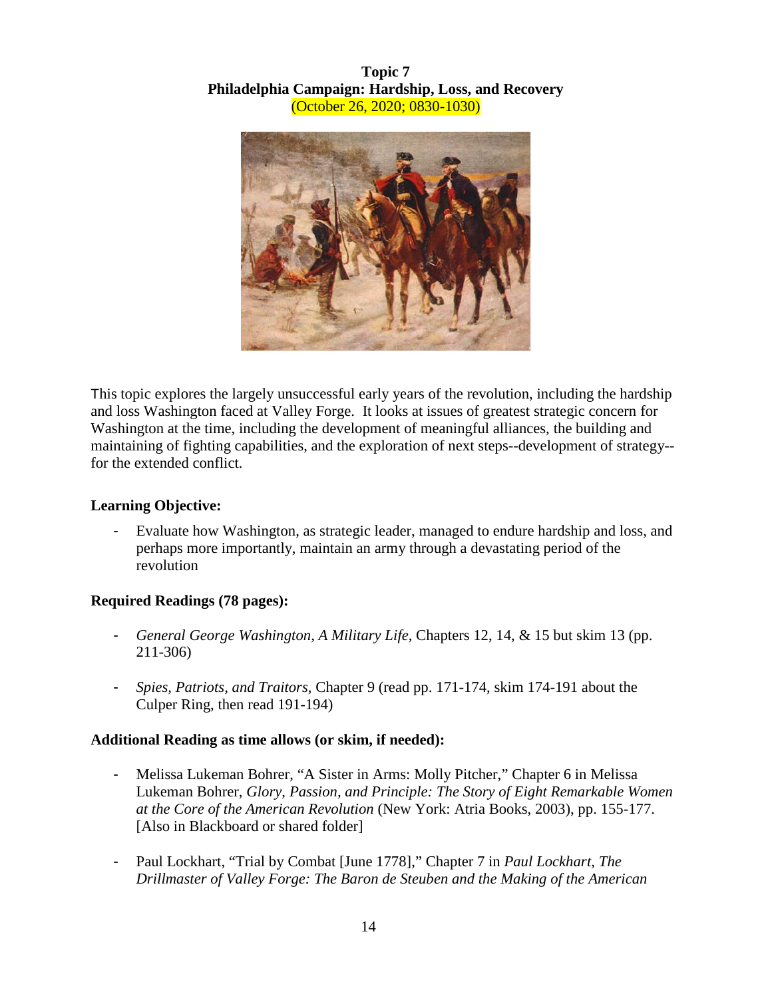# **Topic 7 Philadelphia Campaign: Hardship, Loss, and Recovery** (October 26, 2020; 0830-1030)



This topic explores the largely unsuccessful early years of the revolution, including the hardship and loss Washington faced at Valley Forge. It looks at issues of greatest strategic concern for Washington at the time, including the development of meaningful alliances, the building and maintaining of fighting capabilities, and the exploration of next steps--development of strategy- for the extended conflict.

# **Learning Objective:**

- Evaluate how Washington, as strategic leader, managed to endure hardship and loss, and perhaps more importantly, maintain an army through a devastating period of the revolution

# **Required Readings (78 pages):**

- *General George Washington, A Military Life,* Chapters 12, 14, & 15 but skim 13 (pp. 211-306)
- *Spies, Patriots, and Traitors*, Chapter 9 (read pp. 171-174, skim 174-191 about the Culper Ring, then read 191-194)

# **Additional Reading as time allows (or skim, if needed):**

- Melissa Lukeman Bohrer, "A Sister in Arms: Molly Pitcher," Chapter 6 in Melissa Lukeman Bohrer, *Glory, Passion, and Principle: The Story of Eight Remarkable Women at the Core of the American Revolution* (New York: Atria Books, 2003), pp. 155-177. [Also in Blackboard or shared folder]
- Paul Lockhart, "Trial by Combat [June 1778]," Chapter 7 in *Paul Lockhart, The Drillmaster of Valley Forge: The Baron de Steuben and the Making of the American*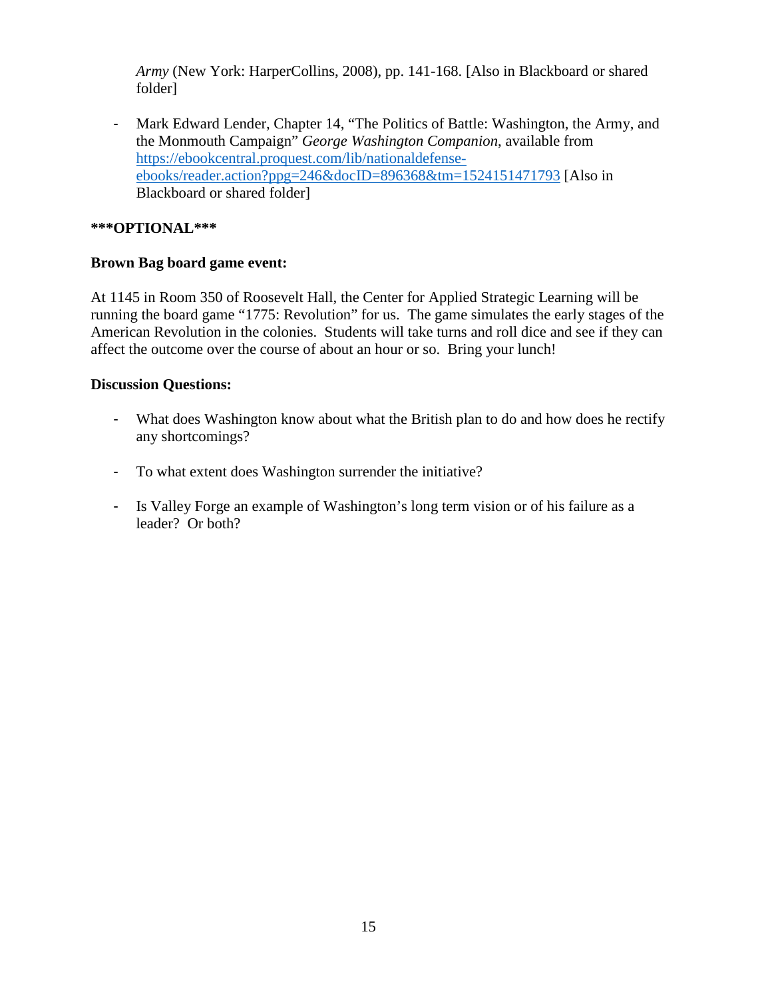*Army* (New York: HarperCollins, 2008), pp. 141-168. [Also in Blackboard or shared folder]

- Mark Edward Lender, Chapter 14, "The Politics of Battle: Washington, the Army, and the Monmouth Campaign" *George Washington Companion*, available from [https://ebookcentral.proquest.com/lib/nationaldefense](https://ebookcentral.proquest.com/lib/nationaldefense-ebooks/reader.action?ppg=246&docID=896368&tm=1524151471793)[ebooks/reader.action?ppg=246&docID=896368&tm=1524151471793](https://ebookcentral.proquest.com/lib/nationaldefense-ebooks/reader.action?ppg=246&docID=896368&tm=1524151471793) [Also in Blackboard or shared folder]

#### **\*\*\*OPTIONAL\*\*\***

#### **Brown Bag board game event:**

At 1145 in Room 350 of Roosevelt Hall, the Center for Applied Strategic Learning will be running the board game "1775: Revolution" for us. The game simulates the early stages of the American Revolution in the colonies. Students will take turns and roll dice and see if they can affect the outcome over the course of about an hour or so. Bring your lunch!

- What does Washington know about what the British plan to do and how does he rectify any shortcomings?
- To what extent does Washington surrender the initiative?
- Is Valley Forge an example of Washington's long term vision or of his failure as a leader? Or both?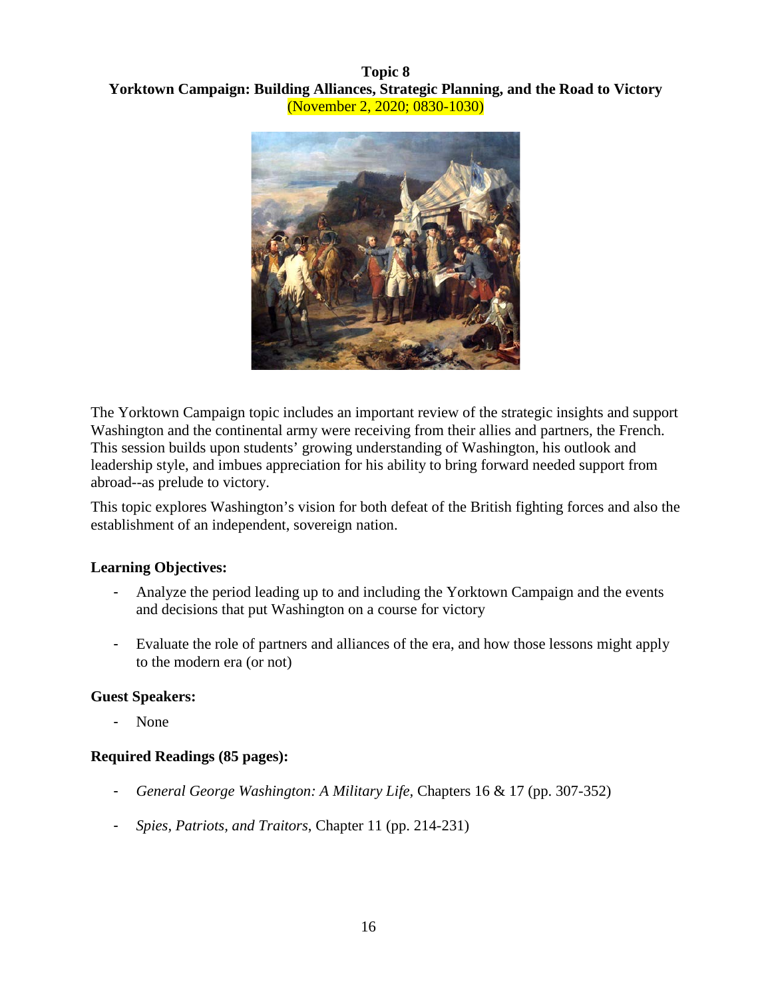#### **Topic 8 Yorktown Campaign: Building Alliances, Strategic Planning, and the Road to Victory** (November 2, 2020; 0830-1030)



The Yorktown Campaign topic includes an important review of the strategic insights and support Washington and the continental army were receiving from their allies and partners, the French. This session builds upon students' growing understanding of Washington, his outlook and leadership style, and imbues appreciation for his ability to bring forward needed support from abroad--as prelude to victory.

This topic explores Washington's vision for both defeat of the British fighting forces and also the establishment of an independent, sovereign nation.

# **Learning Objectives:**

- Analyze the period leading up to and including the Yorktown Campaign and the events and decisions that put Washington on a course for victory
- Evaluate the role of partners and alliances of the era, and how those lessons might apply to the modern era (or not)

# **Guest Speakers:**

None

# **Required Readings (85 pages):**

- *General George Washington: A Military Life,* Chapters 16 & 17 (pp. 307-352)
- *Spies, Patriots, and Traitors*, Chapter 11 (pp. 214-231)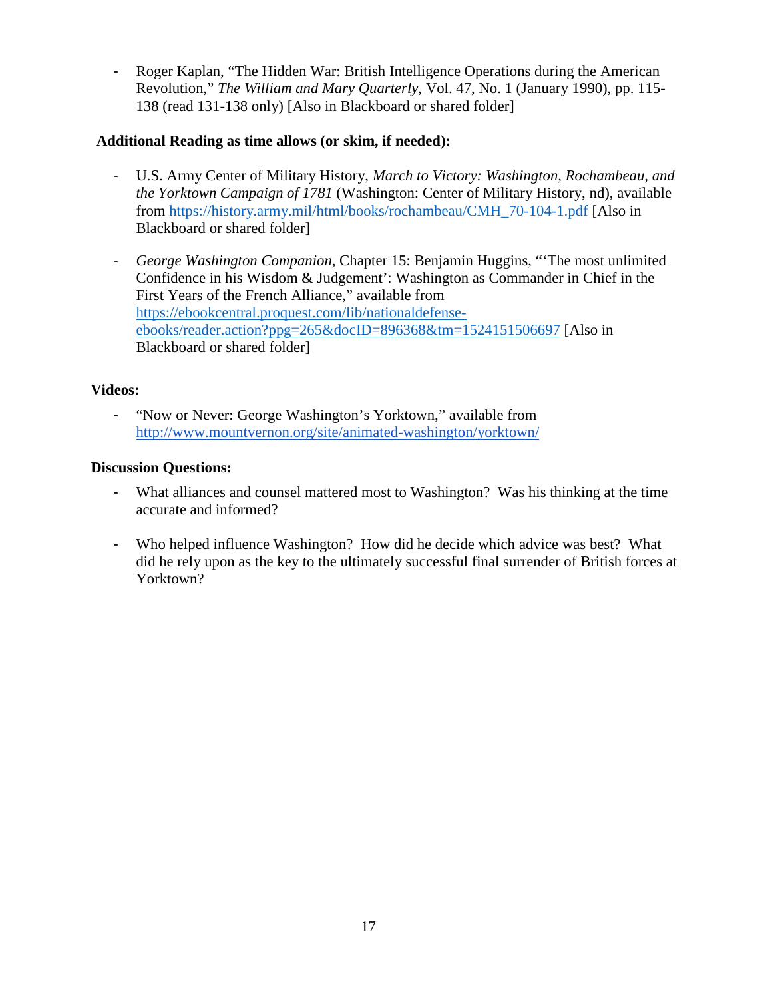- Roger Kaplan, "The Hidden War: British Intelligence Operations during the American Revolution," *The William and Mary Quarterly*, Vol. 47, No. 1 (January 1990), pp. 115- 138 (read 131-138 only) [Also in Blackboard or shared folder]

# **Additional Reading as time allows (or skim, if needed):**

- U.S. Army Center of Military History, *March to Victory: Washington, Rochambeau, and the Yorktown Campaign of 1781* (Washington: Center of Military History, nd), available from [https://history.army.mil/html/books/rochambeau/CMH\\_70-104-1.pdf](https://history.army.mil/html/books/rochambeau/CMH_70-104-1.pdf) [Also in Blackboard or shared folder]
- *George Washington Companion*, Chapter 15: Benjamin Huggins, "'The most unlimited Confidence in his Wisdom & Judgement': Washington as Commander in Chief in the First Years of the French Alliance," available from [https://ebookcentral.proquest.com/lib/nationaldefense](https://ebookcentral.proquest.com/lib/nationaldefense-ebooks/reader.action?ppg=265&docID=896368&tm=1524151506697)[ebooks/reader.action?ppg=265&docID=896368&tm=1524151506697](https://ebookcentral.proquest.com/lib/nationaldefense-ebooks/reader.action?ppg=265&docID=896368&tm=1524151506697) [Also in Blackboard or shared folder]

# **Videos:**

- "Now or Never: George Washington's Yorktown," available from <http://www.mountvernon.org/site/animated-washington/yorktown/>

- What alliances and counsel mattered most to Washington? Was his thinking at the time accurate and informed?
- Who helped influence Washington? How did he decide which advice was best? What did he rely upon as the key to the ultimately successful final surrender of British forces at Yorktown?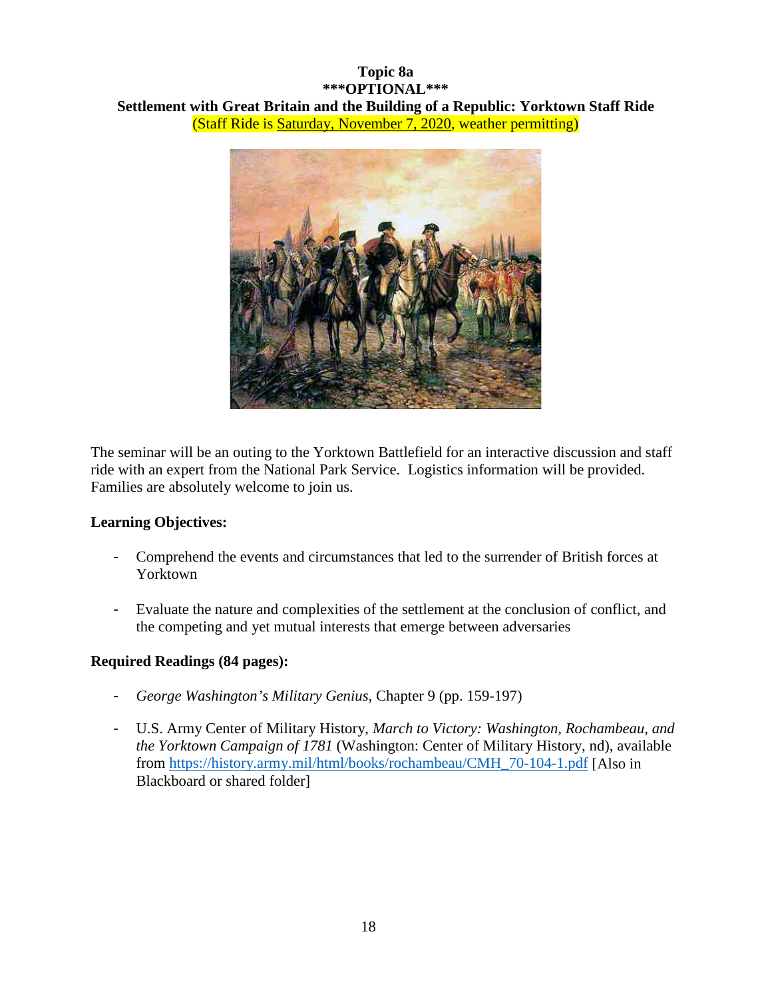# **Topic 8a \*\*\*OPTIONAL\*\*\* Settlement with Great Britain and the Building of a Republic: Yorktown Staff Ride** (Staff Ride is Saturday, November 7, 2020, weather permitting)



The seminar will be an outing to the Yorktown Battlefield for an interactive discussion and staff ride with an expert from the National Park Service. Logistics information will be provided. Families are absolutely welcome to join us.

#### **Learning Objectives:**

- Comprehend the events and circumstances that led to the surrender of British forces at Yorktown
- Evaluate the nature and complexities of the settlement at the conclusion of conflict, and the competing and yet mutual interests that emerge between adversaries

# **Required Readings (84 pages):**

- *George Washington's Military Genius,* Chapter 9 (pp. 159-197)
- U.S. Army Center of Military History, *March to Victory: Washington, Rochambeau, and the Yorktown Campaign of 1781* (Washington: Center of Military History, nd), available from [https://history.army.mil/html/books/rochambeau/CMH\\_70-104-1.pdf](https://history.army.mil/html/books/rochambeau/CMH_70-104-1.pdf) [Also in Blackboard or shared folder]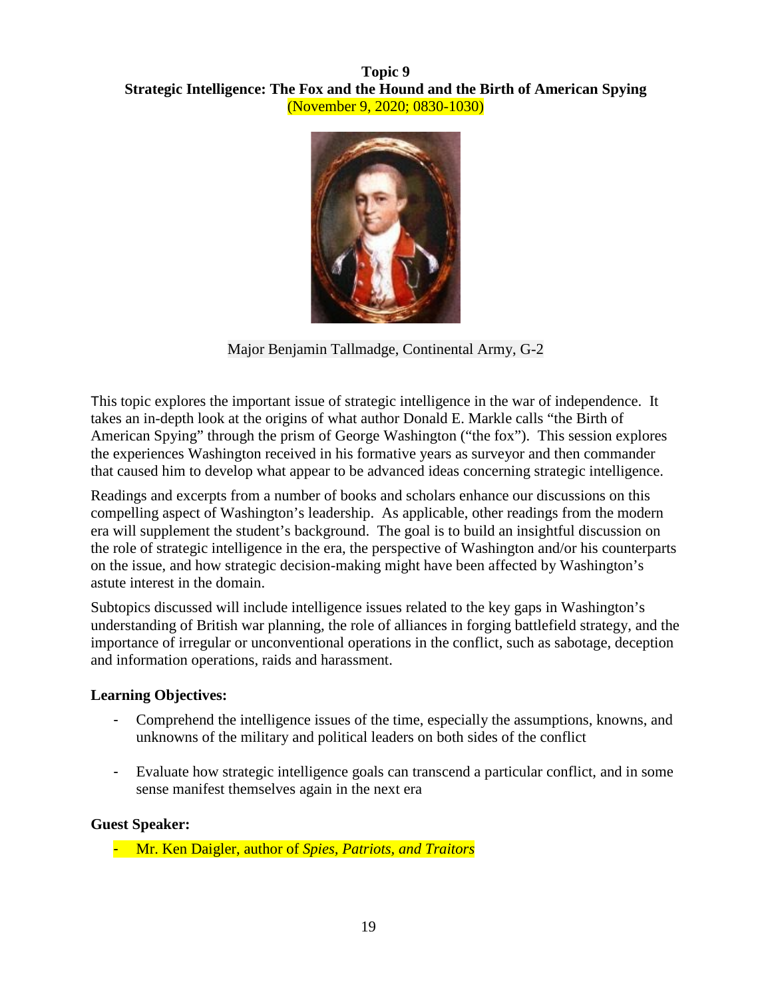# **Topic 9 Strategic Intelligence: The Fox and the Hound and the Birth of American Spying** (November 9, 2020; 0830-1030)



Major Benjamin Tallmadge, Continental Army, G-2

This topic explores the important issue of strategic intelligence in the war of independence. It takes an in-depth look at the origins of what author Donald E. Markle calls "the Birth of American Spying" through the prism of George Washington ("the fox"). This session explores the experiences Washington received in his formative years as surveyor and then commander that caused him to develop what appear to be advanced ideas concerning strategic intelligence.

Readings and excerpts from a number of books and scholars enhance our discussions on this compelling aspect of Washington's leadership. As applicable, other readings from the modern era will supplement the student's background. The goal is to build an insightful discussion on the role of strategic intelligence in the era, the perspective of Washington and/or his counterparts on the issue, and how strategic decision-making might have been affected by Washington's astute interest in the domain.

Subtopics discussed will include intelligence issues related to the key gaps in Washington's understanding of British war planning, the role of alliances in forging battlefield strategy, and the importance of irregular or unconventional operations in the conflict, such as sabotage, deception and information operations, raids and harassment.

# **Learning Objectives:**

- Comprehend the intelligence issues of the time, especially the assumptions, knowns, and unknowns of the military and political leaders on both sides of the conflict
- Evaluate how strategic intelligence goals can transcend a particular conflict, and in some sense manifest themselves again in the next era

#### **Guest Speaker:**

- Mr. Ken Daigler, author of *Spies, Patriots, and Traitors*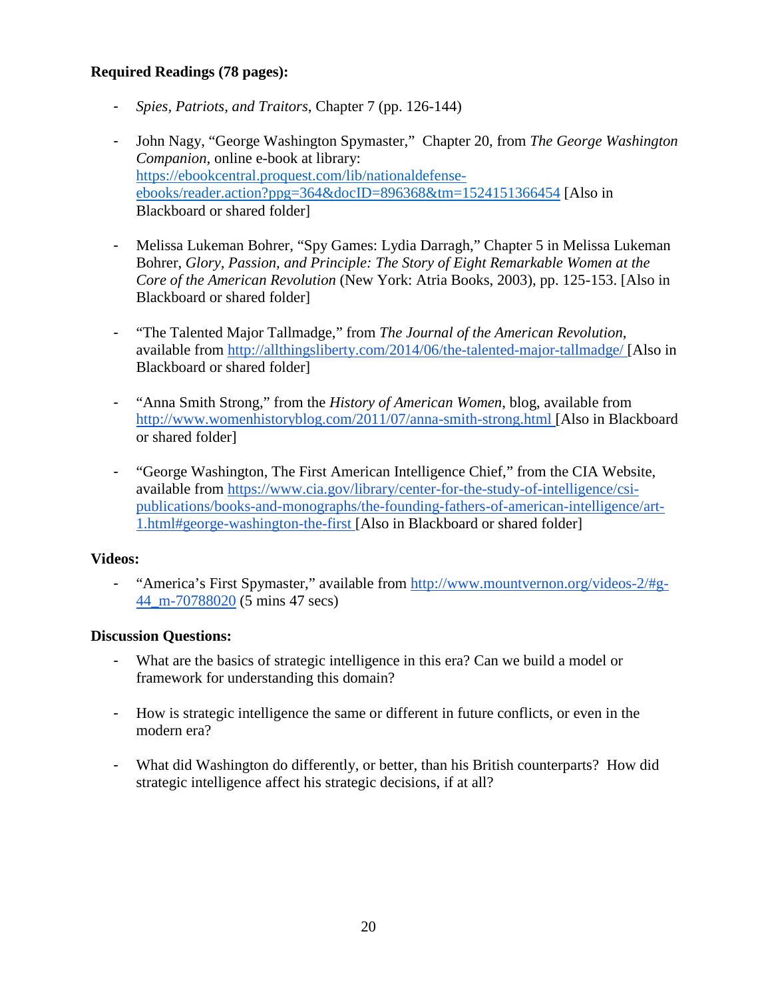# **Required Readings (78 pages):**

- *Spies, Patriots, and Traitors*, Chapter 7 (pp. 126-144)
- John Nagy, "George Washington Spymaster," Chapter 20, from *The George Washington Companion,* online e-book at library: [https://ebookcentral.proquest.com/lib/nationaldefense](https://ebookcentral.proquest.com/lib/nationaldefense-ebooks/reader.action?ppg=364&docID=896368&tm=1524151366454)[ebooks/reader.action?ppg=364&docID=896368&tm=1524151366454](https://ebookcentral.proquest.com/lib/nationaldefense-ebooks/reader.action?ppg=364&docID=896368&tm=1524151366454) [Also in Blackboard or shared folder]
- Melissa Lukeman Bohrer, "Spy Games: Lydia Darragh," Chapter 5 in Melissa Lukeman Bohrer, *Glory, Passion, and Principle: The Story of Eight Remarkable Women at the Core of the American Revolution* (New York: Atria Books, 2003), pp. 125-153. [Also in Blackboard or shared folder]
- "The Talented Major Tallmadge," from *The Journal of the American Revolution*, available from<http://allthingsliberty.com/2014/06/the-talented-major-tallmadge/> [Also in Blackboard or shared folder]
- "Anna Smith Strong," from the *History of American Women*, blog, available from <http://www.womenhistoryblog.com/2011/07/anna-smith-strong.html> [Also in Blackboard or shared folder]
- "George Washington, The First American Intelligence Chief," from the CIA Website, available from [https://www.cia.gov/library/center-for-the-study-of-intelligence/csi](https://www.cia.gov/library/center-for-the-study-of-intelligence/csi-publications/books-and-monographs/the-founding-fathers-of-american-intelligence/art-1.html#george-washington-the-first)[publications/books-and-monographs/the-founding-fathers-of-american-intelligence/art-](https://www.cia.gov/library/center-for-the-study-of-intelligence/csi-publications/books-and-monographs/the-founding-fathers-of-american-intelligence/art-1.html#george-washington-the-first)[1.html#george-washington-the-first](https://www.cia.gov/library/center-for-the-study-of-intelligence/csi-publications/books-and-monographs/the-founding-fathers-of-american-intelligence/art-1.html#george-washington-the-first) [Also in Blackboard or shared folder]

# **Videos:**

- "America's First Spymaster," available from [http://www.mountvernon.org/videos-2/#g-](http://www.mountvernon.org/videos-2/#g-44_m-70788020)[44\\_m-70788020](http://www.mountvernon.org/videos-2/#g-44_m-70788020) (5 mins 47 secs)

- What are the basics of strategic intelligence in this era? Can we build a model or framework for understanding this domain?
- How is strategic intelligence the same or different in future conflicts, or even in the modern era?
- What did Washington do differently, or better, than his British counterparts? How did strategic intelligence affect his strategic decisions, if at all?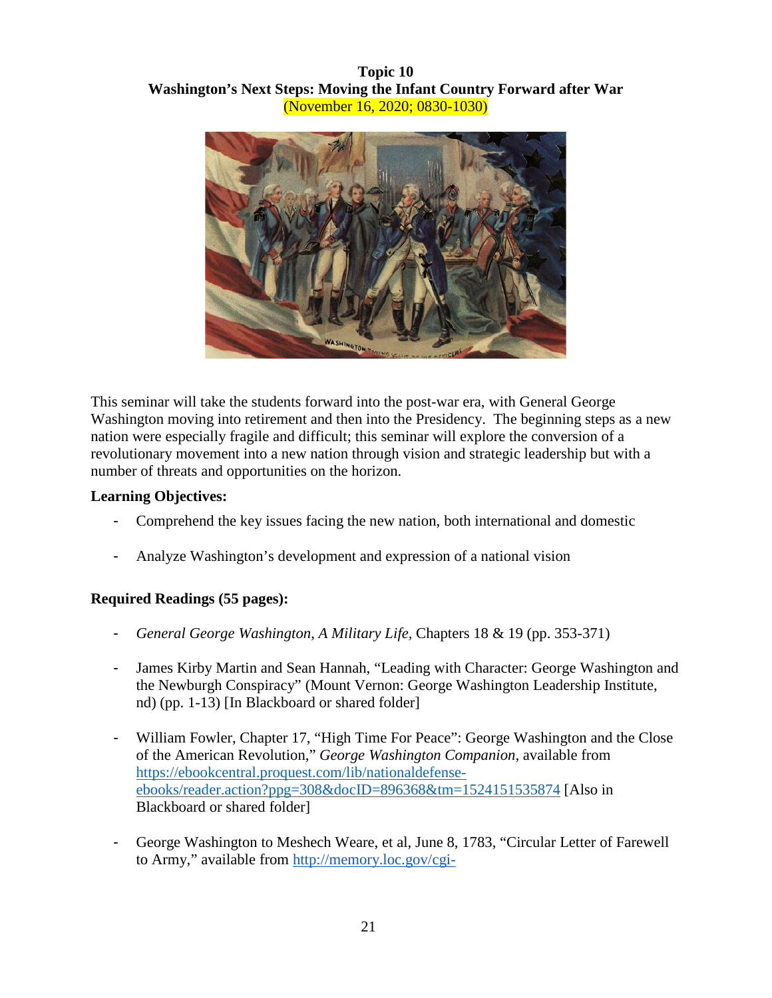# **Topic 10 Washington's Next Steps: Moving the Infant Country Forward after War** (November 16, 2020; 0830-1030)



This seminar will take the students forward into the post-war era, with General George Washington moving into retirement and then into the Presidency. The beginning steps as a new nation were especially fragile and difficult; this seminar will explore the conversion of a revolutionary movement into a new nation through vision and strategic leadership but with a number of threats and opportunities on the horizon.

#### **Learning Objectives:**

- Comprehend the key issues facing the new nation, both international and domestic
- Analyze Washington's development and expression of a national vision

# **Required Readings (55 pages):**

- *General George Washington, A Military Life,* Chapters 18 & 19 (pp. 353-371)
- James Kirby Martin and Sean Hannah, "Leading with Character: George Washington and the Newburgh Conspiracy" (Mount Vernon: George Washington Leadership Institute, nd) (pp. 1-13) [In Blackboard or shared folder]
- William Fowler, Chapter 17, "High Time For Peace": George Washington and the Close of the American Revolution," *George Washington Companion*, available from [https://ebookcentral.proquest.com/lib/nationaldefense](https://ebookcentral.proquest.com/lib/nationaldefense-ebooks/reader.action?ppg=308&docID=896368&tm=1524151535874)[ebooks/reader.action?ppg=308&docID=896368&tm=1524151535874](https://ebookcentral.proquest.com/lib/nationaldefense-ebooks/reader.action?ppg=308&docID=896368&tm=1524151535874) [Also in Blackboard or shared folder]
- George Washington to Meshech Weare, et al, June 8, 1783, "Circular Letter of Farewell to Army," available from [http://memory.loc.gov/cgi-](http://memory.loc.gov/cgi-bin/query/r?ammem/mgw:@field(DOCID+@lit(gw260534)))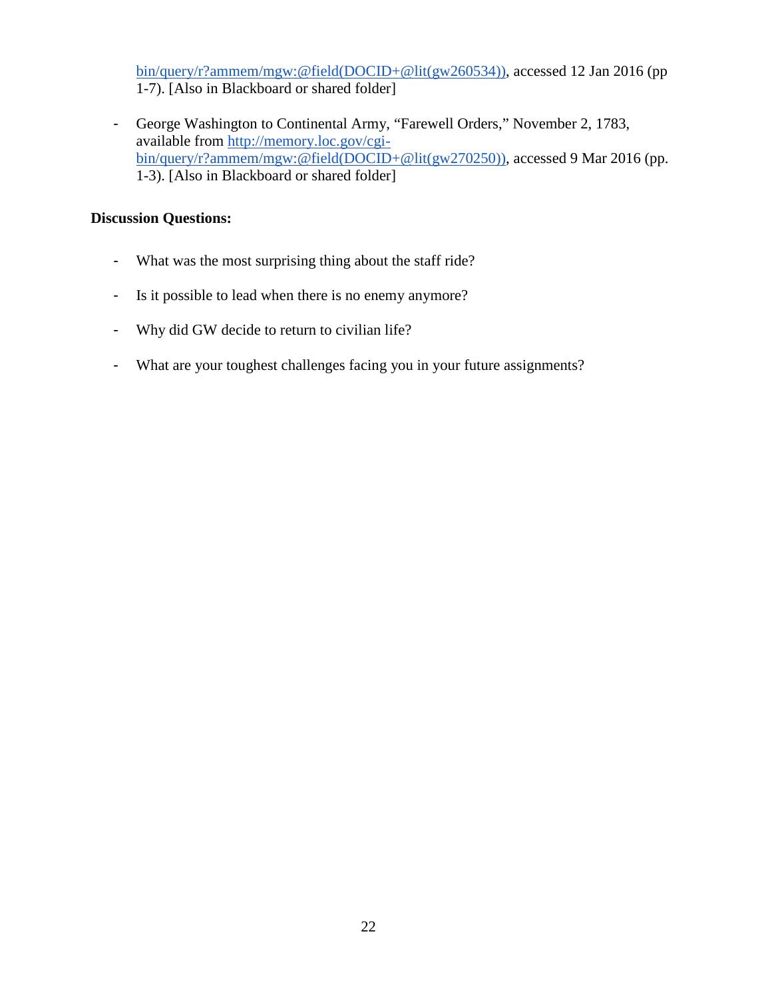[bin/query/r?ammem/mgw:@field\(DOCID+@lit\(gw260534\)\),](http://memory.loc.gov/cgi-bin/query/r?ammem/mgw:@field(DOCID+@lit(gw260534))) accessed 12 Jan 2016 (pp 1-7). [Also in Blackboard or shared folder]

- George Washington to Continental Army, "Farewell Orders," November 2, 1783, available from [http://memory.loc.gov/cgi](http://memory.loc.gov/cgi-bin/query/r?ammem/mgw:@field(DOCID+@lit(gw270250)))[bin/query/r?ammem/mgw:@field\(DOCID+@lit\(gw270250\)\),](http://memory.loc.gov/cgi-bin/query/r?ammem/mgw:@field(DOCID+@lit(gw270250))) accessed 9 Mar 2016 (pp. 1-3). [Also in Blackboard or shared folder]

- What was the most surprising thing about the staff ride?
- Is it possible to lead when there is no enemy anymore?
- Why did GW decide to return to civilian life?
- What are your toughest challenges facing you in your future assignments?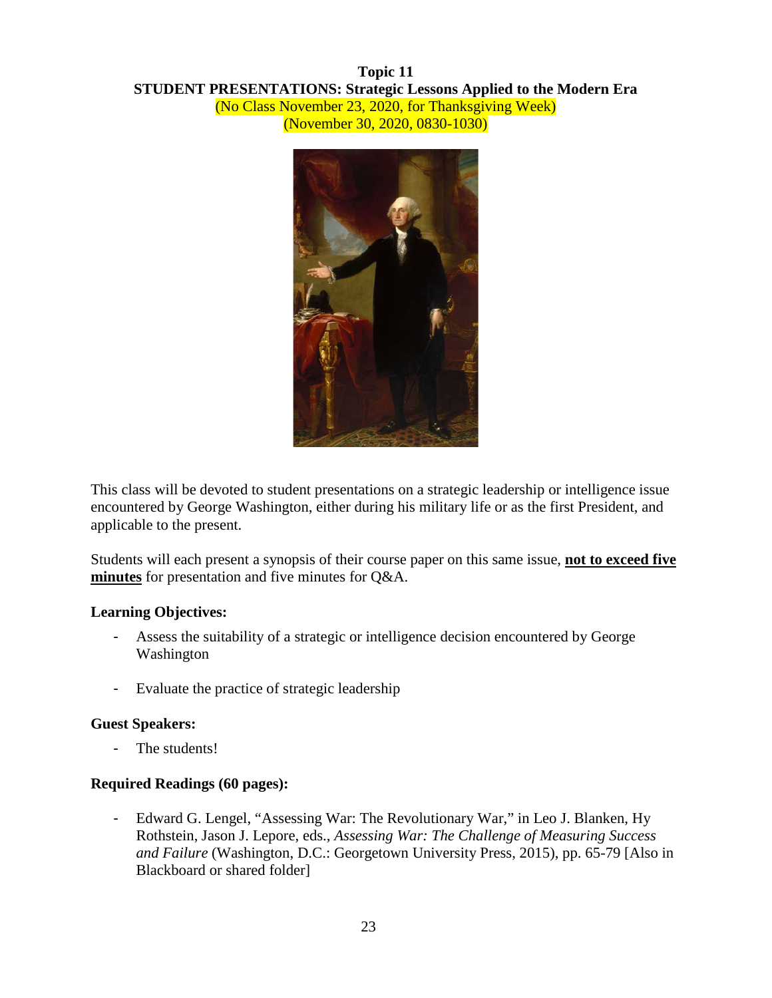# **Topic 11 STUDENT PRESENTATIONS: Strategic Lessons Applied to the Modern Era** (No Class November 23, 2020, for Thanksgiving Week) (November 30, 2020, 0830-1030)



This class will be devoted to student presentations on a strategic leadership or intelligence issue encountered by George Washington, either during his military life or as the first President, and applicable to the present.

Students will each present a synopsis of their course paper on this same issue, **not to exceed five minutes** for presentation and five minutes for Q&A.

#### **Learning Objectives:**

- Assess the suitability of a strategic or intelligence decision encountered by George Washington
- Evaluate the practice of strategic leadership

#### **Guest Speakers:**

The students!

#### **Required Readings (60 pages):**

- Edward G. Lengel, "Assessing War: The Revolutionary War," in Leo J. Blanken, Hy Rothstein, Jason J. Lepore, eds., *Assessing War: The Challenge of Measuring Success and Failure* (Washington, D.C.: Georgetown University Press, 2015), pp. 65-79 [Also in Blackboard or shared folder]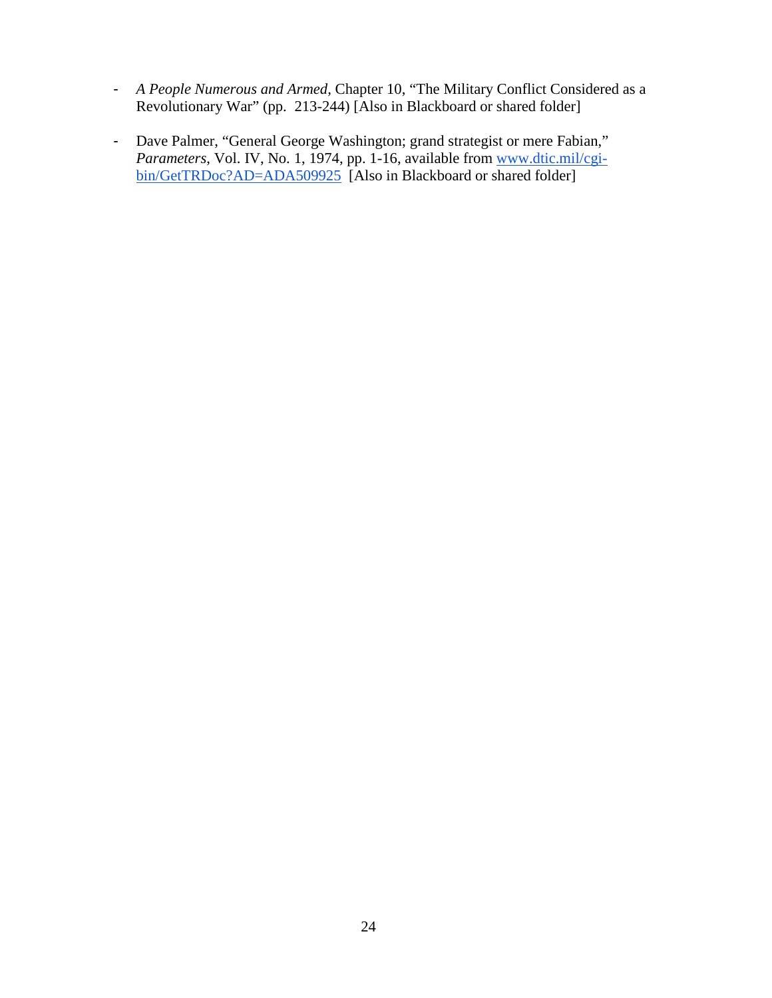- *A People Numerous and Armed,* Chapter 10, "The Military Conflict Considered as a Revolutionary War" (pp. 213-244) [Also in Blackboard or shared folder]
- Dave Palmer, "General George Washington; grand strategist or mere Fabian," *Parameters*, Vol. IV, No. 1, 1974, pp. 1-16, available from [www.dtic.mil/cgi](http://www.dtic.mil/cgi-bin/GetTRDoc?AD=ADA509925)[bin/GetTRDoc?AD=ADA509925](http://www.dtic.mil/cgi-bin/GetTRDoc?AD=ADA509925) [Also in Blackboard or shared folder]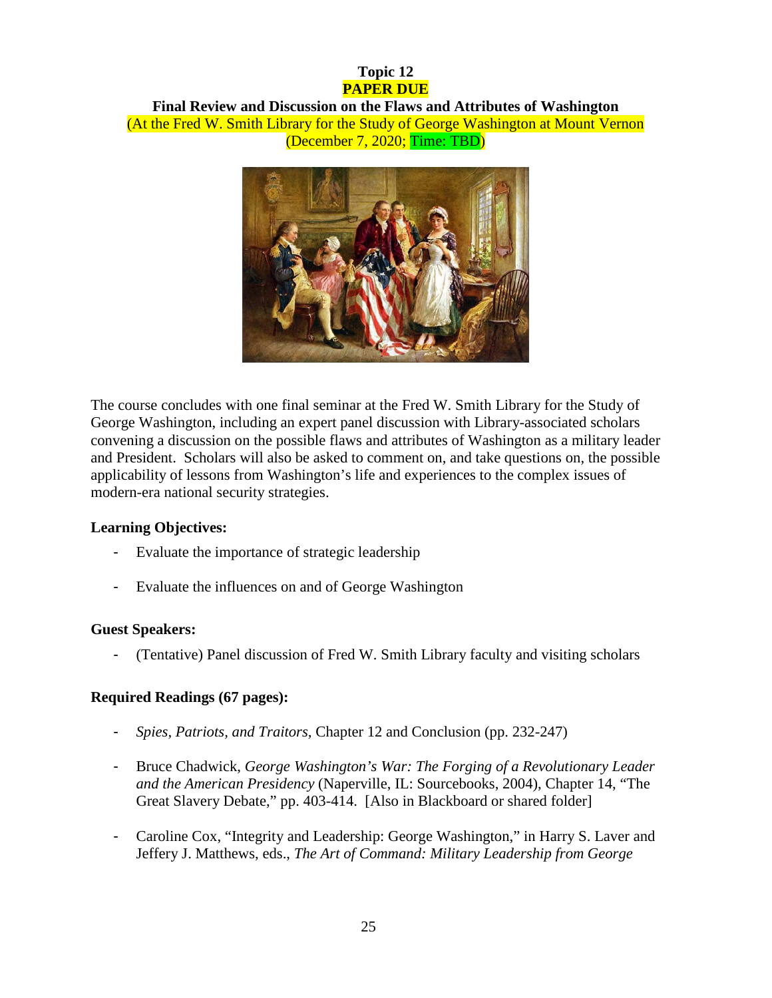# **Topic 12 PAPER DUE**

#### **Final Review and Discussion on the Flaws and Attributes of Washington** (At the Fred W. Smith Library for the Study of George Washington at Mount Vernon (December 7, 2020; Time: TBD)



The course concludes with one final seminar at the Fred W. Smith Library for the Study of George Washington, including an expert panel discussion with Library-associated scholars convening a discussion on the possible flaws and attributes of Washington as a military leader and President. Scholars will also be asked to comment on, and take questions on, the possible applicability of lessons from Washington's life and experiences to the complex issues of modern-era national security strategies.

# **Learning Objectives:**

- Evaluate the importance of strategic leadership
- Evaluate the influences on and of George Washington

# **Guest Speakers:**

- (Tentative) Panel discussion of Fred W. Smith Library faculty and visiting scholars

# **Required Readings (67 pages):**

- *Spies, Patriots, and Traitors,* Chapter 12 and Conclusion (pp. 232-247)
- Bruce Chadwick, *George Washington's War: The Forging of a Revolutionary Leader and the American Presidency* (Naperville, IL: Sourcebooks, 2004), Chapter 14, "The Great Slavery Debate," pp. 403-414. [Also in Blackboard or shared folder]
- Caroline Cox, "Integrity and Leadership: George Washington," in Harry S. Laver and Jeffery J. Matthews, eds., *The Art of Command: Military Leadership from George*